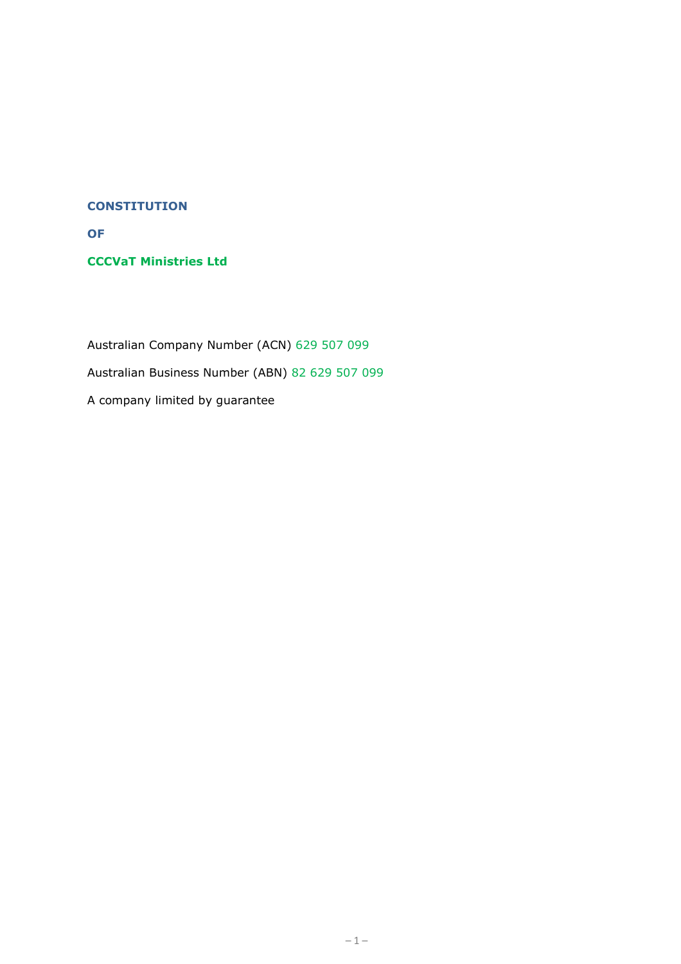#### **CONSTITUTION**

**OF**

**CCCVaT Ministries Ltd**

Australian Company Number (ACN) 629 507 099 Australian Business Number (ABN) 82 629 507 099 A company limited by guarantee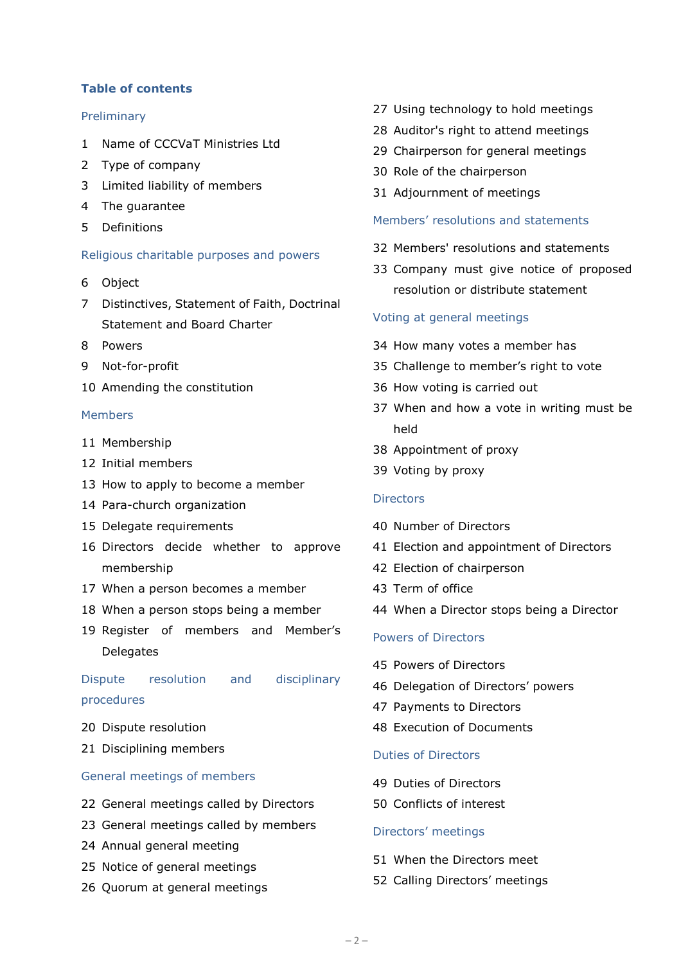## **Table of contents**

#### Preliminary

- Name of CCCVaT Ministries Ltd
- Type of company
- Limited liability of members
- The guarantee
- Definitions

#### Religious charitable purposes and powers

- <span id="page-1-0"></span>Object
- Distinctives, Statement of Faith, Doctrinal Statement and Board Charter
- Powers
- Not-for-profit
- Amending the constitution

#### Members

- Membership
- Initial members
- How to apply to become a member
- Para-church organization
- Delegate requirements
- Directors decide whether to approve membership
- When a person becomes a member
- When a person stops being a member
- Register of members and Member's **Delegates**

Dispute resolution and disciplinary procedures

- Dispute resolution
- Disciplining members

#### General meetings of members

- General meetings called by Directors
- General meetings called by members
- Annual general meeting
- Notice of general meetings
- Quorum at general meetings
- Using technology to hold meetings
- Auditor's right to attend meetings
- Chairperson for general meetings
- Role of the chairperson
- Adjournment of meetings

#### Members' resolutions and statements

- Members' resolutions and statements
- Company must give notice of proposed resolution or distribute statement

#### Voting at general meetings

- How many votes a member has
- Challenge to member's right to vote
- How voting is carried out
- When and how a vote in writing must be held
- Appointment of proxy
- Voting by proxy

#### **Directors**

- Number of Directors
- Election and appointment of Directors
- Election of chairperson
- Term of office
- When a Director stops being a Director

## Powers of Directors

- Powers of Directors
- Delegation of Directors' powers
- Payments to Directors
- Execution of Documents

#### Duties of Directors

- Duties of Directors
- Conflicts of interest

#### Directors' meetings

- When the Directors meet
- Calling Directors' meetings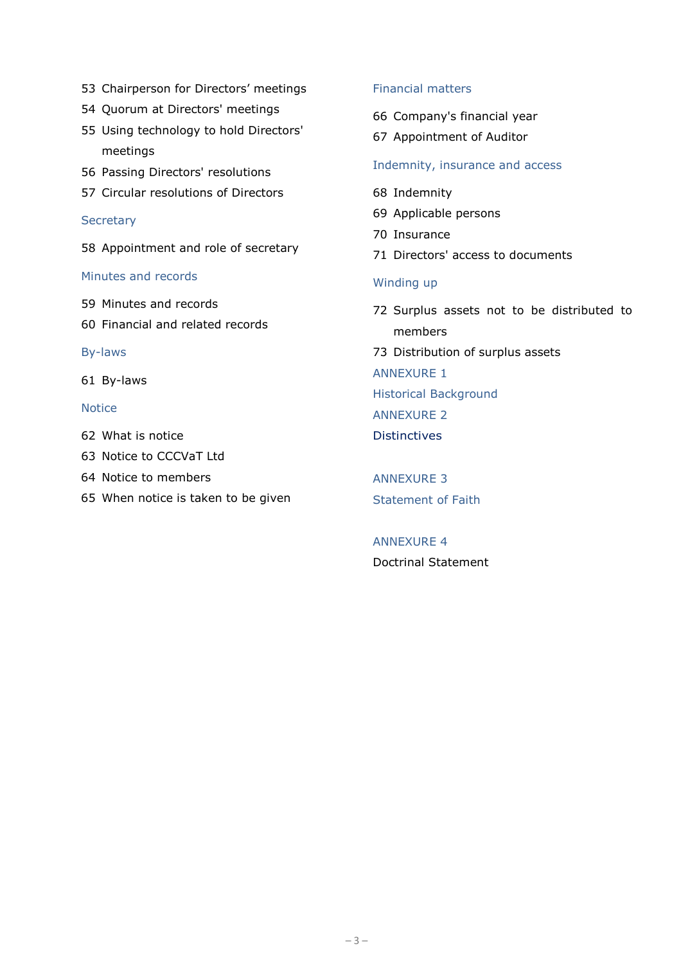- 53 Chairperson for Directors' meetings
- 54 Quorum at Directors' meetings
- 55 Using technology to hold Directors' meetings
- 56 Passing Directors' resolutions
- 57 Circular resolutions of Directors

#### **Secretary**

58 Appointment and role of secretary

#### Minutes and records

- 59 Minutes and records
- 60 Financial and related records

By-laws

61 By-laws

#### Notice

- 62 What is notice
- 63 Notice to CCCVaT Ltd
- 64 Notice to members
- 65 When notice is taken to be given

## Financial matters

- 66 Company's financial year
- 67 Appointment of Auditor

## Indemnity, insurance and access

- 68 Indemnity
- 69 Applicable persons
- 70 Insurance
- 71 Directors' access to documents

## Winding up

72 Surplus assets not to be distributed to members 73 Distribution of surplus assets ANNEXURE 1 Historical Background ANNEXURE 2

**Distinctives** 

ANNEXURE 3 Statement of Faith

ANNEXURE 4 Doctrinal Statement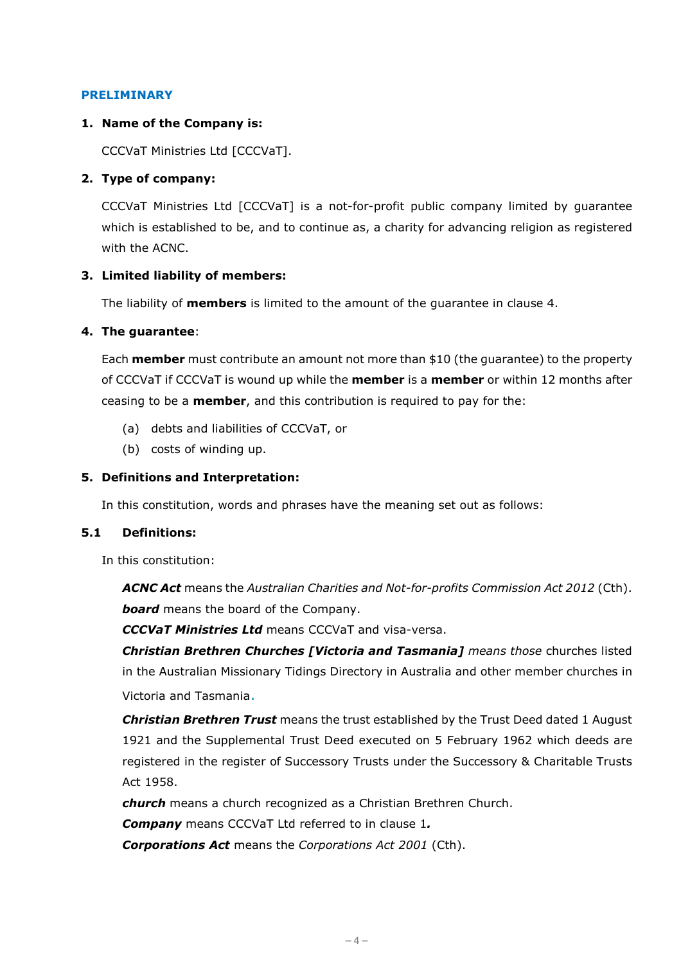#### **PRELIMINARY**

## <span id="page-3-1"></span>**1. Name of the Company is:**

CCCVaT Ministries Ltd [CCCVaT].

## **2. Type of company:**

CCCVaT Ministries Ltd [CCCVaT] is a not-for-profit public company limited by guarantee which is established to be, and to continue as, a charity for advancing religion as registered with the ACNC.

## **3. Limited liability of members:**

The liability of **members** is limited to the amount of the guarantee in clause [4.](#page-3-0)

## <span id="page-3-0"></span>**4. The guarantee**:

Each **member** must contribute an amount not more than \$10 (the guarantee) to the property of CCCVaT if CCCVaT is wound up while the **member** is a **member** or within 12 months after ceasing to be a **member**, and this contribution is required to pay for the:

- (a) debts and liabilities of CCCVaT, or
- (b) costs of winding up.

## **5. Definitions and Interpretation:**

In this constitution, words and phrases have the meaning set out as follows:

## **5.1 Definitions:**

In this constitution:

*ACNC Act* means the *Australian Charities and Not-for-profits Commission Act 2012* (Cth). *board* means the board of the Company.

*CCCVaT Ministries Ltd* means CCCVaT and visa-versa.

*Christian Brethren Churches [Victoria and Tasmania] means those* churches listed in the Australian Missionary Tidings Directory in Australia and other member churches in Victoria and Tasmania.

*Christian Brethren Trust* means the trust established by the Trust Deed dated 1 August 1921 and the Supplemental Trust Deed executed on 5 February 1962 which deeds are registered in the register of Successory Trusts under the Successory & Charitable Trusts Act 1958.

*church* means a church recognized as a Christian Brethren Church.

*Company* means CCCVaT Ltd referred to in clause [1](#page-3-1)*.*

*Corporations Act* means the *Corporations Act 2001* (Cth).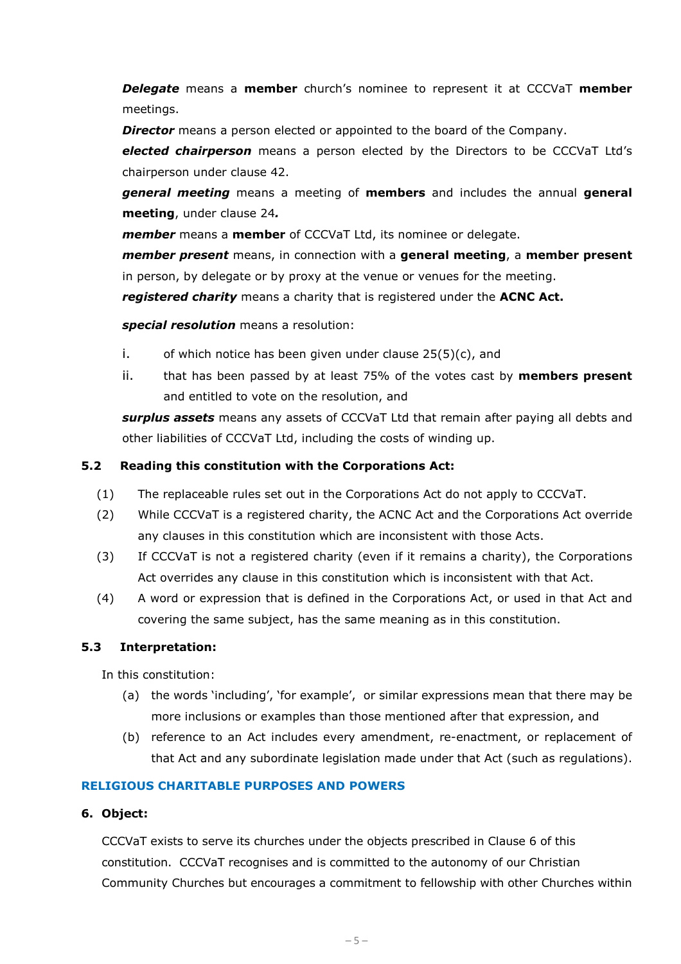*Delegate* means a **member** church's nominee to represent it at CCCVaT **member** meetings.

*Director* means a person elected or appointed to the board of the Company.

*elected chairperson* means a person elected by the Directors to be CCCVaT Ltd's chairperson under clause 42.

*general meeting* means a meeting of **members** and includes the annual **general meeting**, under clause 24*.*

*member* means a **member** of CCCVaT Ltd, its nominee or delegate.

*member present* means, in connection with a **general meeting**, a **member present** in person, by delegate or by proxy at the venue or venues for the meeting.

*registered charity* means a charity that is registered under the **ACNC Act.**

*special resolution* means a resolution:

- i. of which notice has been given under clause  $25(5)(c)$ , and
- ii. that has been passed by at least 75% of the votes cast by **members present** and entitled to vote on the resolution, and

*surplus assets* means any assets of CCCVaT Ltd that remain after paying all debts and other liabilities of CCCVaT Ltd, including the costs of winding up.

## **5.2 Reading this constitution with the Corporations Act:**

- (1) The replaceable rules set out in the Corporations Act do not apply to CCCVaT.
- (2) While CCCVaT is a registered charity, the ACNC Act and the Corporations Act override any clauses in this constitution which are inconsistent with those Acts.
- (3) If CCCVaT is not a registered charity (even if it remains a charity), the Corporations Act overrides any clause in this constitution which is inconsistent with that Act.
- (4) A word or expression that is defined in the Corporations Act, or used in that Act and covering the same subject, has the same meaning as in this constitution.

## **5.3 Interpretation:**

In this constitution:

- (a) the words 'including', 'for example', or similar expressions mean that there may be more inclusions or examples than those mentioned after that expression, and
- (b) reference to an Act includes every amendment, re-enactment, or replacement of that Act and any subordinate legislation made under that Act (such as regulations).

## **RELIGIOUS CHARITABLE PURPOSES AND POWERS**

## **6. Object:**

CCCVaT exists to serve its churches under the objects prescribed in Clause 6 of this constitution. CCCVaT recognises and is committed to the autonomy of our Christian Community Churches but encourages a commitment to fellowship with other Churches within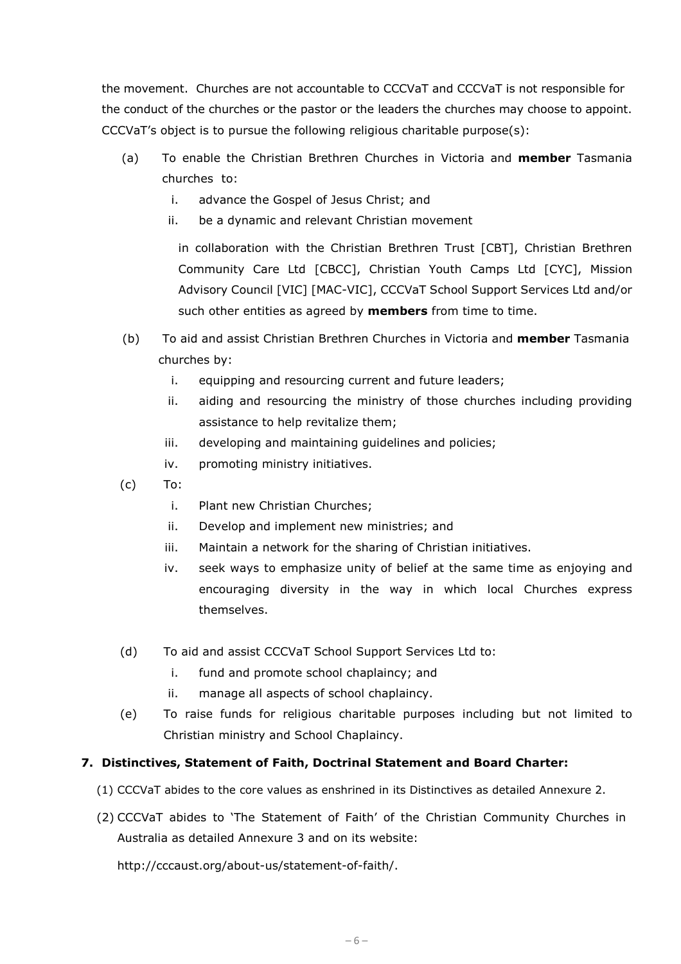the movement. Churches are not accountable to CCCVaT and CCCVaT is not responsible for the conduct of the churches or the pastor or the leaders the churches may choose to appoint. CCCVaT's object is to pursue the following religious charitable purpose(s):

- (a) To enable the Christian Brethren Churches in Victoria and **member** Tasmania churches to:
	- i. advance the Gospel of Jesus Christ; and
	- ii. be a dynamic and relevant Christian movement

in collaboration with the Christian Brethren Trust [CBT], Christian Brethren Community Care Ltd [CBCC], Christian Youth Camps Ltd [CYC], Mission Advisory Council [VIC] [MAC-VIC], CCCVaT School Support Services Ltd and/or such other entities as agreed by **members** from time to time.

- (b) To aid and assist Christian Brethren Churches in Victoria and **member** Tasmania churches by:
	- i. equipping and resourcing current and future leaders;
	- ii. aiding and resourcing the ministry of those churches including providing assistance to help revitalize them;
	- iii. developing and maintaining guidelines and policies;
	- iv. promoting ministry initiatives.
- (c) To:
	- i. Plant new Christian Churches;
	- ii. Develop and implement new ministries; and
	- iii. Maintain a network for the sharing of Christian initiatives.
	- iv. seek ways to emphasize unity of belief at the same time as enjoying and encouraging diversity in the way in which local Churches express themselves.
- (d) To aid and assist CCCVaT School Support Services Ltd to:
	- i. fund and promote school chaplaincy; and
	- ii. manage all aspects of school chaplaincy.
- (e) To raise funds for religious charitable purposes including but not limited to Christian ministry and School Chaplaincy.

## **7. Distinctives, Statement of Faith, Doctrinal Statement and Board Charter:**

- (1) CCCVaT abides to the core values as enshrined in its Distinctives as detailed Annexure 2.
- (2) CCCVaT abides to 'The Statement of Faith' of the Christian Community Churches in Australia as detailed Annexure 3 and on its website:

http://cccaust.org/about-us/statement-of-faith/.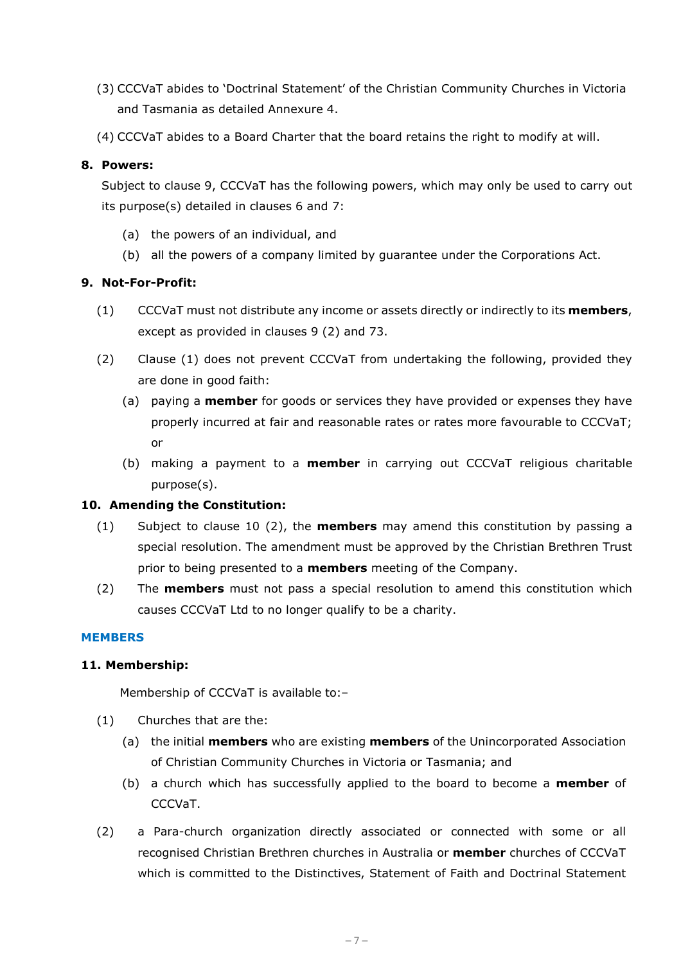- (3) CCCVaT abides to 'Doctrinal Statement' of the Christian Community Churches in Victoria and Tasmania as detailed Annexure 4.
- (4) CCCVaT abides to a Board Charter that the board retains the right to modify at will.

## **8. Powers:**

Subject to clause 9, CCCVaT has the following powers, which may only be used to carry out its purpose(s) detailed in clauses 6 and 7:

- (a) the powers of an individual, and
- (b) all the powers of a company limited by guarantee under the Corporations Act.

## **9. Not-For-Profit:**

- <span id="page-6-0"></span>(1) CCCVaT must not distribute any income or assets directly or indirectly to its **members**, except as provided in clauses 9 (2) and 73.
- (2) Clause [\(1\)](#page-6-0) does not prevent CCCVaT from undertaking the following, provided they are done in good faith:
	- (a) paying a **member** for goods or services they have provided or expenses they have properly incurred at fair and reasonable rates or rates more favourable to CCCVaT; or
	- (b) making a payment to a **member** in carrying out CCCVaT religious charitable purpose(s).

## **10. Amending the Constitution:**

- (1) Subject to clause 10 (2), the **members** may amend this constitution by passing a special resolution. The amendment must be approved by the Christian Brethren Trust prior to being presented to a **members** meeting of the Company.
- (2) The **members** must not pass a special resolution to amend this constitution which causes CCCVaT Ltd to no longer qualify to be a charity.

## **MEMBERS**

## **11. Membership:**

Membership of CCCVaT is available to:–

- (1) Churches that are the:
	- (a) the initial **members** who are existing **members** of the Unincorporated Association of Christian Community Churches in Victoria or Tasmania; and
	- (b) a church which has successfully applied to the board to become a **member** of CCCVaT.
- (2) a Para-church organization directly associated or connected with some or all recognised Christian Brethren churches in Australia or **member** churches of CCCVaT which is committed to the Distinctives, Statement of Faith and Doctrinal Statement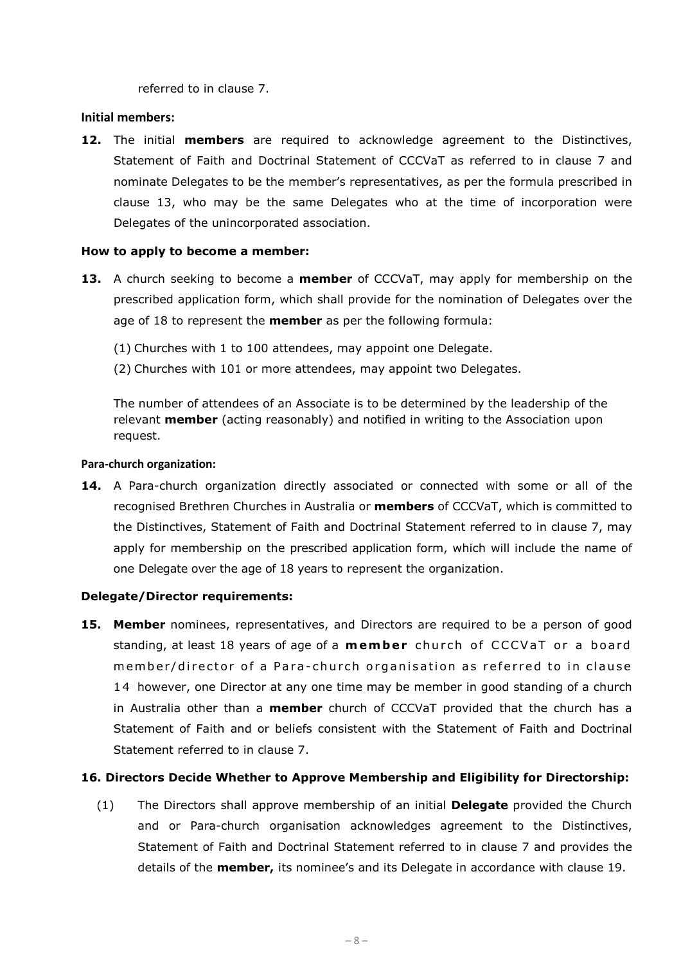referred to in clause 7.

#### **Initial members:**

**12.** The initial **members** are required to acknowledge agreement to the Distinctives, Statement of Faith and Doctrinal Statement of CCCVaT as referred to in clause 7 and nominate Delegates to be the member's representatives, as per the formula prescribed in clause 13, who may be the same Delegates who at the time of incorporation were Delegates of the unincorporated association.

#### **How to apply to become a member:**

- **13.** A church seeking to become a **member** of CCCVaT, may apply for membership on the prescribed application form, which shall provide for the nomination of Delegates over the age of 18 to represent the **member** as per the following formula:
	- (1) Churches with 1 to 100 attendees, may appoint one Delegate.
	- (2) Churches with 101 or more attendees, may appoint two Delegates.

The number of attendees of an Associate is to be determined by the leadership of the relevant **member** (acting reasonably) and notified in writing to the Association upon request.

#### **Para-church organization:**

**14.** A Para-church organization directly associated or connected with some or all of the recognised Brethren Churches in Australia or **members** of CCCVaT, which is committed to the Distinctives, Statement of Faith and Doctrinal Statement referred to in clause 7, may apply for membership on the prescribed application form, which will include the name of one Delegate over the age of 18 years to represent the organization.

#### **Delegate/Director requirements:**

**15. Member** nominees, representatives, and Directors are required to be a person of good standing, at least 18 years of age of a **member** church of CCCVaT or a board member/director of a Para- church organisation as referred to in clause 14 however, one Director at any one time may be member in good standing of a church in Australia other than a **member** church of CCCVaT provided that the church has a Statement of Faith and or beliefs consistent with the Statement of Faith and Doctrinal Statement referred to in clause 7.

## **16. Directors Decide Whether to Approve Membership and Eligibility for Directorship:**

(1) The Directors shall approve membership of an initial **Delegate** provided the Church and or Para-church organisation acknowledges agreement to the Distinctives, Statement of Faith and Doctrinal Statement referred to in clause 7 and provides the details of the **member,** its nominee's and its Delegate in accordance with clause 19.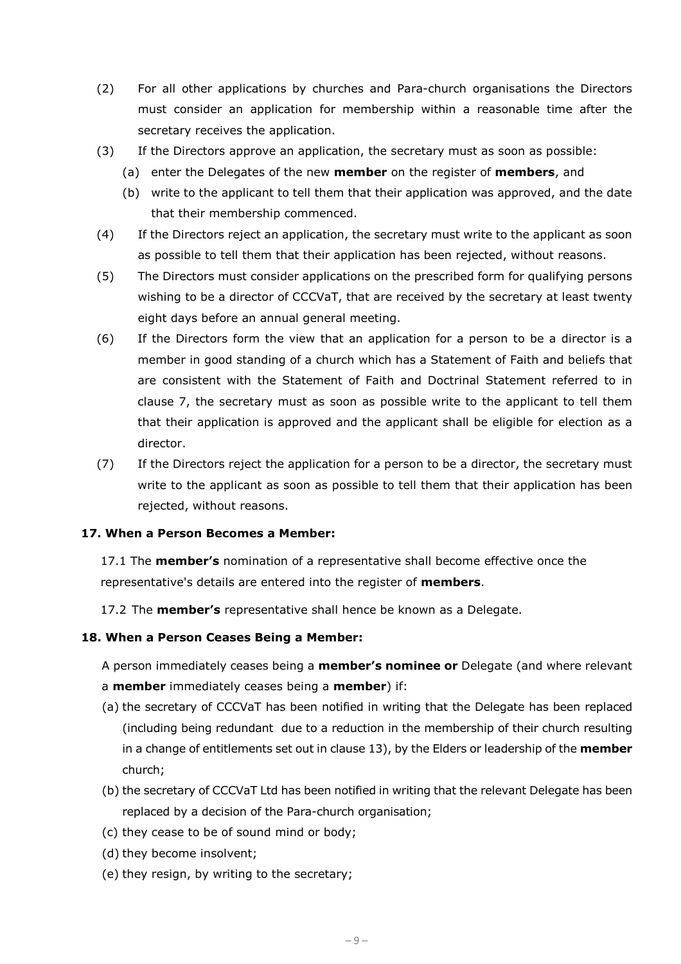- (2) For all other applications by churches and Para-church organisations the Directors must consider an application for membership within a reasonable time after the secretary receives the application.
- (3) If the Directors approve an application, the secretary must as soon as possible:
	- (a) enter the Delegates of the new **member** on the register of **members**, and
	- (b) write to the applicant to tell them that their application was approved, and the date that their membership commenced.
- (4) If the Directors reject an application, the secretary must write to the applicant as soon as possible to tell them that their application has been rejected, without reasons.
- (5) The Directors must consider applications on the prescribed form for qualifying persons wishing to be a director of CCCVaT, that are received by the secretary at least twenty eight days before an annual general meeting.
- (6) If the Directors form the view that an application for a person to be a director is a member in good standing of a church which has a Statement of Faith and beliefs that are consistent with the Statement of Faith and Doctrinal Statement referred to in clause 7, the secretary must as soon as possible write to the applicant to tell them that their application is approved and the applicant shall be eligible for election as a director.
- (7) If the Directors reject the application for a person to be a director, the secretary must write to the applicant as soon as possible to tell them that their application has been rejected, without reasons.

## **17. When a Person Becomes a Member:**

17.1 The **member's** nomination of a representative shall become effective once the representative's details are entered into the register of **members**.

17.2 The **member's** representative shall hence be known as a Delegate.

#### **18. When a Person Ceases Being a Member:**

A person immediately ceases being a **member's nominee or** Delegate (and where relevant a **member** immediately ceases being a **member**) if:

- (a) the secretary of CCCVaT has been notified in writing that the Delegate has been replaced (including being redundant due to a reduction in the membership of their church resulting in a change of entitlements set out in clause 13), by the Elders or leadership of the **member** church;
- (b) the secretary of CCCVaT Ltd has been notified in writing that the relevant Delegate has been replaced by a decision of the Para-church organisation;
- (c) they cease to be of sound mind or body;
- (d) they become insolvent;
- (e) they resign, by writing to the secretary;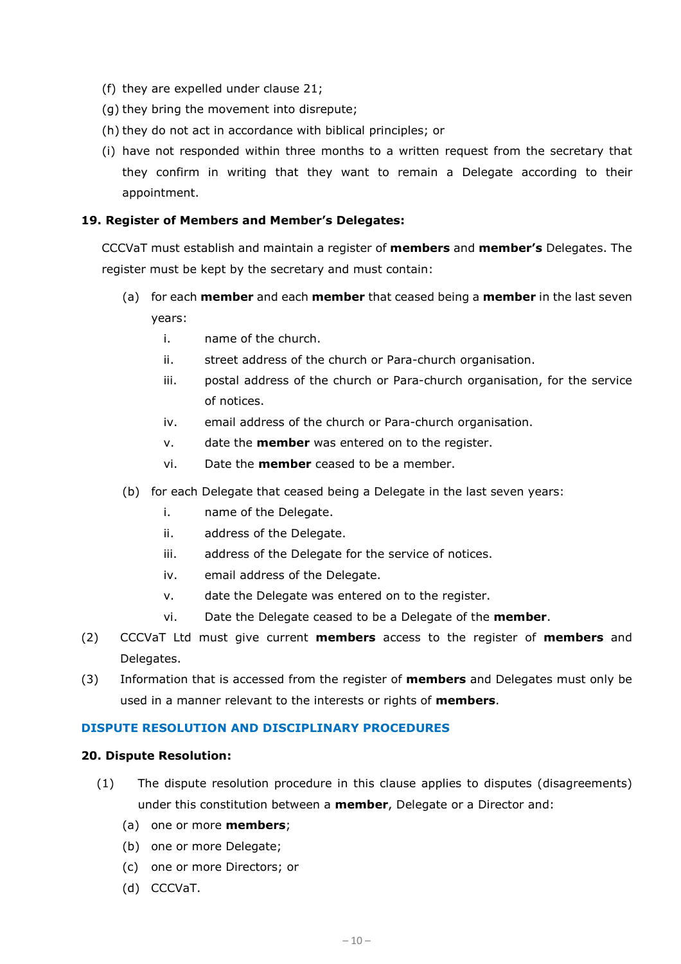- (f) they are expelled under clause 21;
- (g) they bring the movement into disrepute;
- (h) they do not act in accordance with biblical principles; or
- (i) have not responded within three months to a written request from the secretary that they confirm in writing that they want to remain a Delegate according to their appointment.

#### **19. Register of Members and Member's Delegates:**

CCCVaT must establish and maintain a register of **members** and **member's** Delegates. The register must be kept by the secretary and must contain:

- (a) for each **member** and each **member** that ceased being a **member** in the last seven years:
	- i. name of the church.
	- ii. street address of the church or Para-church organisation.
	- iii. postal address of the church or Para-church organisation, for the service of notices.
	- iv. email address of the church or Para-church organisation.
	- v. date the **member** was entered on to the register.
	- vi. Date the **member** ceased to be a member.
- (b) for each Delegate that ceased being a Delegate in the last seven years:
	- i. name of the Delegate.
	- ii. address of the Delegate.
	- iii. address of the Delegate for the service of notices.
	- iv. email address of the Delegate.
	- v. date the Delegate was entered on to the register.
	- vi. Date the Delegate ceased to be a Delegate of the **member**.
- (2) CCCVaT Ltd must give current **members** access to the register of **members** and Delegates.
- (3) Information that is accessed from the register of **members** and Delegates must only be used in a manner relevant to the interests or rights of **members**.

#### **DISPUTE RESOLUTION AND DISCIPLINARY PROCEDURES**

#### **20. Dispute Resolution:**

- (1) The dispute resolution procedure in this clause applies to disputes (disagreements) under this constitution between a **member**, Delegate or a Director and:
	- (a) one or more **members**;
	- (b) one or more Delegate;
	- (c) one or more Directors; or
	- (d) CCCVaT.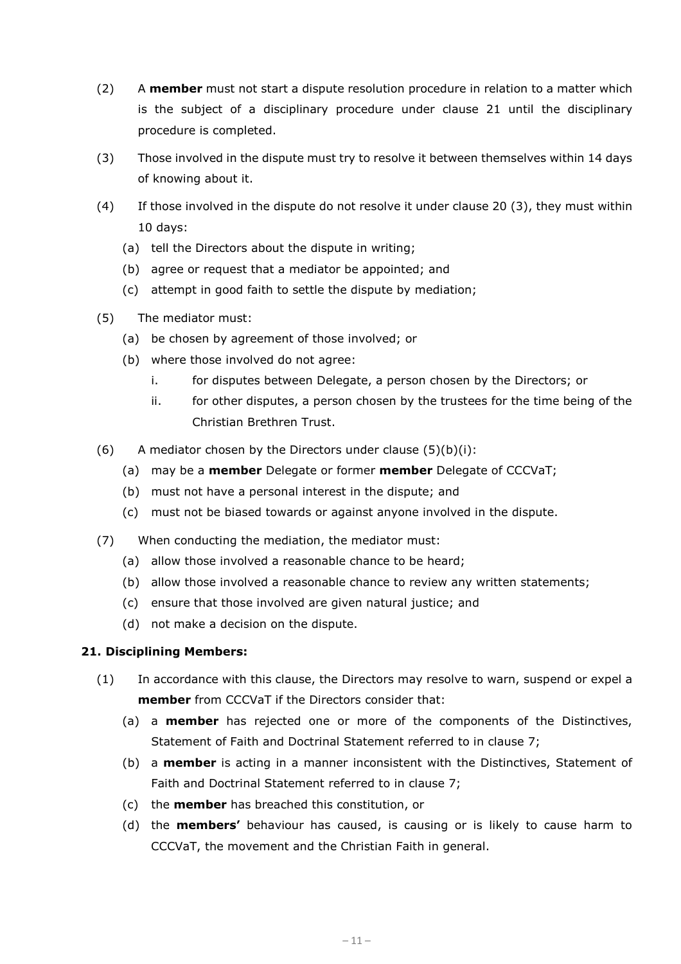- (2) A **member** must not start a dispute resolution procedure in relation to a matter which is the subject of a disciplinary procedure under clause 21 until the disciplinary procedure is completed.
- (3) Those involved in the dispute must try to resolve it between themselves within 14 days of knowing about it.
- (4) If those involved in the dispute do not resolve it under clause 20 (3), they must within 10 days:
	- (a) tell the Directors about the dispute in writing;
	- (b) agree or request that a mediator be appointed; and
	- (c) attempt in good faith to settle the dispute by mediation;
- <span id="page-10-1"></span><span id="page-10-0"></span>(5) The mediator must:
	- (a) be chosen by agreement of those involved; or
	- (b) where those involved do not agree:
		- i. for disputes between Delegate, a person chosen by the Directors; or
		- ii. for other disputes, a person chosen by the trustees for the time being of the Christian Brethren Trust.
- (6) A mediator chosen by the Directors under clause  $(5)(b)(i)$  $(5)(b)(i)$ :
	- (a) may be a **member** Delegate or former **member** Delegate of CCCVaT;
	- (b) must not have a personal interest in the dispute; and
	- (c) must not be biased towards or against anyone involved in the dispute.
- (7) When conducting the mediation, the mediator must:
	- (a) allow those involved a reasonable chance to be heard;
	- (b) allow those involved a reasonable chance to review any written statements;
	- (c) ensure that those involved are given natural justice; and
	- (d) not make a decision on the dispute.

## **21. Disciplining Members:**

- (1) In accordance with this clause, the Directors may resolve to warn, suspend or expel a **member** from CCCVaT if the Directors consider that:
	- (a) a **member** has rejected one or more of the components of the Distinctives, Statement of Faith and Doctrinal Statement referred to in clause 7;
	- (b) a **member** is acting in a manner inconsistent with the Distinctives, Statement of Faith and Doctrinal Statement referred to in clause 7;
	- (c) the **member** has breached this constitution, or
	- (d) the **members'** behaviour has caused, is causing or is likely to cause harm to CCCVaT, the movement and the Christian Faith in general.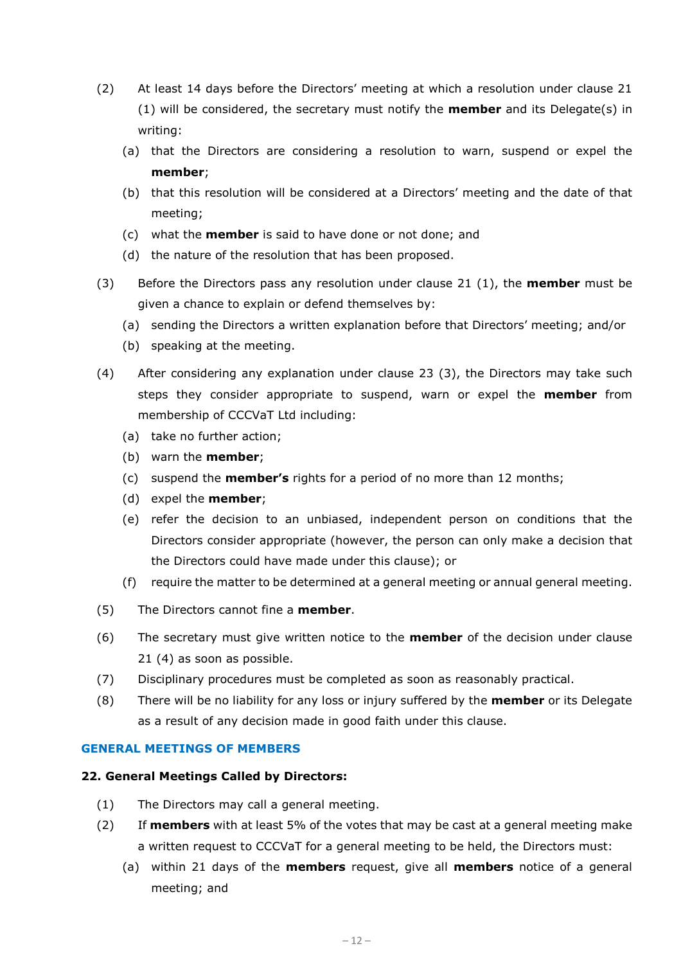- (2) At least 14 days before the Directors' meeting at which a resolution under clause 21 (1) will be considered, the secretary must notify the **member** and its Delegate(s) in writing:
	- (a) that the Directors are considering a resolution to warn, suspend or expel the **member**;
	- (b) that this resolution will be considered at a Directors' meeting and the date of that meeting;
	- (c) what the **member** is said to have done or not done; and
	- (d) the nature of the resolution that has been proposed.
- (3) Before the Directors pass any resolution under clause 21 (1), the **member** must be given a chance to explain or defend themselves by:
	- (a) sending the Directors a written explanation before that Directors' meeting; and/or
	- (b) speaking at the meeting.
- (4) After considering any explanation under clause 23 (3), the Directors may take such steps they consider appropriate to suspend, warn or expel the **member** from membership of CCCVaT Ltd including:
	- (a) take no further action;
	- (b) warn the **member**;
	- (c) suspend the **member's** rights for a period of no more than 12 months;
	- (d) expel the **member**;
	- (e) refer the decision to an unbiased, independent person on conditions that the Directors consider appropriate (however, the person can only make a decision that the Directors could have made under this clause); or
	- (f) require the matter to be determined at a general meeting or annual general meeting.
- (5) The Directors cannot fine a **member**.
- (6) The secretary must give written notice to the **member** of the decision under clause 21 (4) as soon as possible.
- (7) Disciplinary procedures must be completed as soon as reasonably practical.
- (8) There will be no liability for any loss or injury suffered by the **member** or its Delegate as a result of any decision made in good faith under this clause.

## **GENERAL MEETINGS OF MEMBERS**

## **22. General Meetings Called by Directors:**

- (1) The Directors may call a general meeting.
- (2) If **members** with at least 5% of the votes that may be cast at a general meeting make a written request to CCCVaT for a general meeting to be held, the Directors must:
	- (a) within 21 days of the **members** request, give all **members** notice of a general meeting; and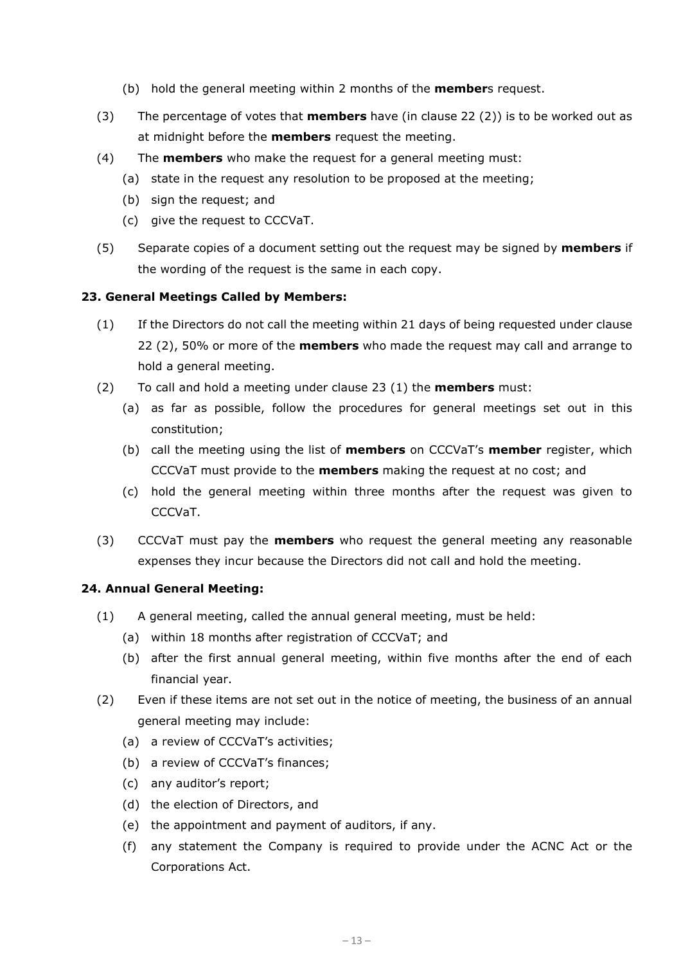- (b) hold the general meeting within 2 months of the **member**s request.
- (3) The percentage of votes that **members** have (in clause 22 (2)) is to be worked out as at midnight before the **members** request the meeting.
- (4) The **members** who make the request for a general meeting must:
	- (a) state in the request any resolution to be proposed at the meeting;
	- (b) sign the request; and
	- (c) give the request to CCCVaT.
- (5) Separate copies of a document setting out the request may be signed by **members** if the wording of the request is the same in each copy.

#### **23. General Meetings Called by Members:**

- (1) If the Directors do not call the meeting within 21 days of being requested under clause 22 (2), 50% or more of the **members** who made the request may call and arrange to hold a general meeting.
- (2) To call and hold a meeting under clause 23 (1) the **members** must:
	- (a) as far as possible, follow the procedures for general meetings set out in this constitution;
	- (b) call the meeting using the list of **members** on CCCVaT's **member** register, which CCCVaT must provide to the **members** making the request at no cost; and
	- (c) hold the general meeting within three months after the request was given to CCCVaT.
- (3) CCCVaT must pay the **members** who request the general meeting any reasonable expenses they incur because the Directors did not call and hold the meeting.

#### **24. Annual General Meeting:**

- (1) A general meeting, called the annual general meeting, must be held:
	- (a) within 18 months after registration of CCCVaT; and
	- (b) after the first annual general meeting, within five months after the end of each financial year.
- (2) Even if these items are not set out in the notice of meeting, the business of an annual general meeting may include:
	- (a) a review of CCCVaT's activities;
	- (b) a review of CCCVaT's finances;
	- (c) any auditor's report;
	- (d) the election of Directors, and
	- (e) the appointment and payment of auditors, if any.
	- (f) any statement the Company is required to provide under the ACNC Act or the Corporations Act.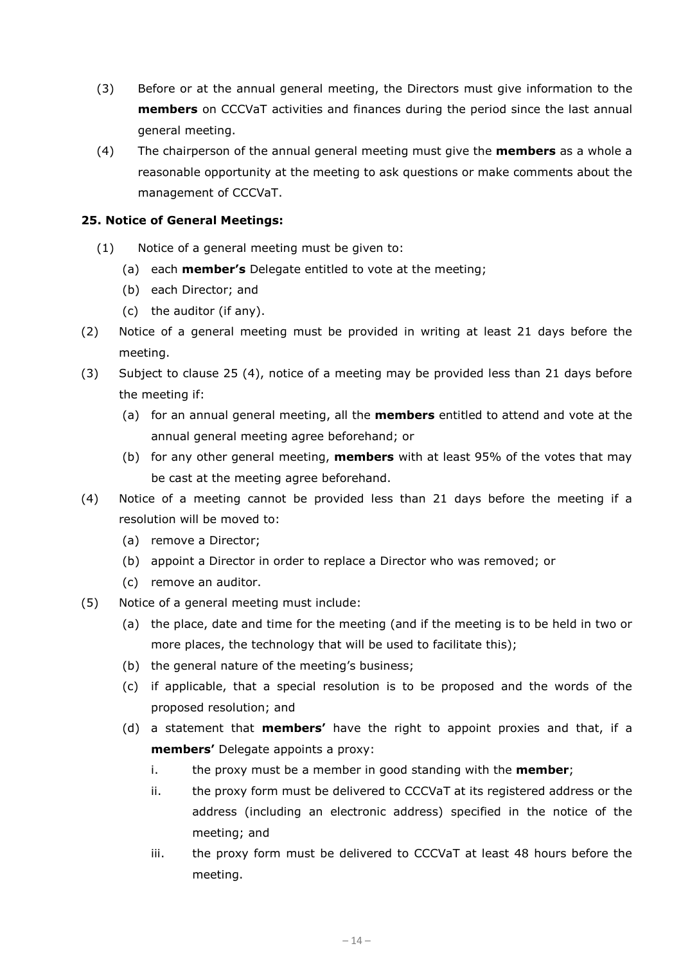- (3) Before or at the annual general meeting, the Directors must give information to the **members** on CCCVaT activities and finances during the period since the last annual general meeting.
- (4) The chairperson of the annual general meeting must give the **members** as a whole a reasonable opportunity at the meeting to ask questions or make comments about the management of CCCVaT.

## **25. Notice of General Meetings:**

- (1) Notice of a general meeting must be given to:
	- (a) each **member's** Delegate entitled to vote at the meeting;
	- (b) each Director; and
	- (c) the auditor (if any).
- (2) Notice of a general meeting must be provided in writing at least 21 days before the meeting.
- (3) Subject to clause 25 (4), notice of a meeting may be provided less than 21 days before the meeting if:
	- (a) for an annual general meeting, all the **members** entitled to attend and vote at the annual general meeting agree beforehand; or
	- (b) for any other general meeting, **members** with at least 95% of the votes that may be cast at the meeting agree beforehand.
- (4) Notice of a meeting cannot be provided less than 21 days before the meeting if a resolution will be moved to:
	- (a) remove a Director;
	- (b) appoint a Director in order to replace a Director who was removed; or
	- (c) remove an auditor.
- <span id="page-13-1"></span><span id="page-13-0"></span>(5) Notice of a general meeting must include:
	- (a) the place, date and time for the meeting (and if the meeting is to be held in two or more places, the technology that will be used to facilitate this);
	- (b) the general nature of the meeting's business;
	- (c) if applicable, that a special resolution is to be proposed and the words of the proposed resolution; and
	- (d) a statement that **members'** have the right to appoint proxies and that, if a **members'** Delegate appoints a proxy:
		- i. the proxy must be a member in good standing with the **member**;
		- ii. the proxy form must be delivered to CCCVaT at its registered address or the address (including an electronic address) specified in the notice of the meeting; and
		- iii. the proxy form must be delivered to CCCVaT at least 48 hours before the meeting.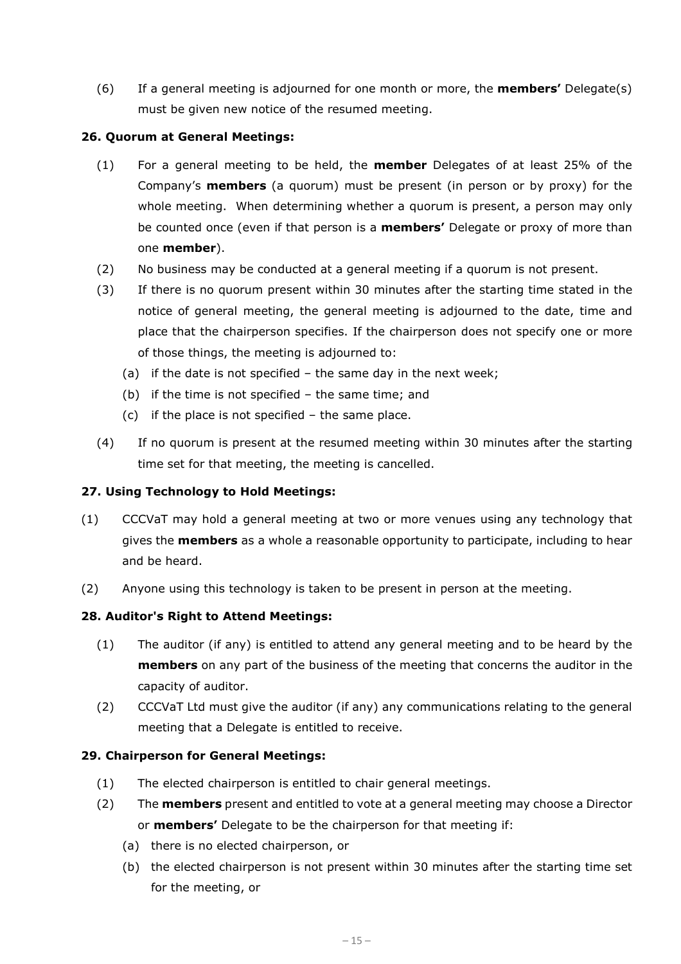(6) If a general meeting is adjourned for one month or more, the **members'** Delegate(s) must be given new notice of the resumed meeting.

## **26. Quorum at General Meetings:**

- (1) For a general meeting to be held, the **member** Delegates of at least 25% of the Company's **members** (a quorum) must be present (in person or by proxy) for the whole meeting. When determining whether a quorum is present, a person may only be counted once (even if that person is a **members'** Delegate or proxy of more than one **member**).
- (2) No business may be conducted at a general meeting if a quorum is not present.
- (3) If there is no quorum present within 30 minutes after the starting time stated in the notice of general meeting, the general meeting is adjourned to the date, time and place that the chairperson specifies. If the chairperson does not specify one or more of those things, the meeting is adjourned to:
	- (a) if the date is not specified the same day in the next week;
	- (b) if the time is not specified the same time; and
	- (c) if the place is not specified the same place.
- (4) If no quorum is present at the resumed meeting within 30 minutes after the starting time set for that meeting, the meeting is cancelled.

## **27. Using Technology to Hold Meetings:**

- (1) CCCVaT may hold a general meeting at two or more venues using any technology that gives the **members** as a whole a reasonable opportunity to participate, including to hear and be heard.
- (2) Anyone using this technology is taken to be present in person at the meeting.

## **28. Auditor's Right to Attend Meetings:**

- (1) The auditor (if any) is entitled to attend any general meeting and to be heard by the **members** on any part of the business of the meeting that concerns the auditor in the capacity of auditor.
- (2) CCCVaT Ltd must give the auditor (if any) any communications relating to the general meeting that a Delegate is entitled to receive.

## **29. Chairperson for General Meetings:**

- (1) The elected chairperson is entitled to chair general meetings.
- (2) The **members** present and entitled to vote at a general meeting may choose a Director or **members'** Delegate to be the chairperson for that meeting if:
	- (a) there is no elected chairperson, or
	- (b) the elected chairperson is not present within 30 minutes after the starting time set for the meeting, or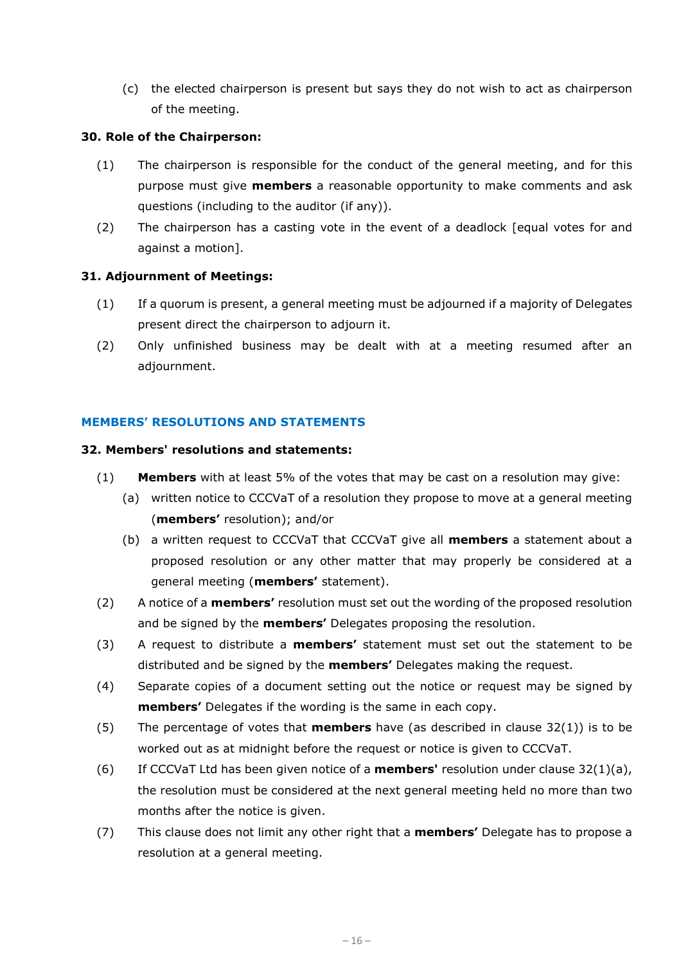(c) the elected chairperson is present but says they do not wish to act as chairperson of the meeting.

## **30. Role of the Chairperson:**

- (1) The chairperson is responsible for the conduct of the general meeting, and for this purpose must give **members** a reasonable opportunity to make comments and ask questions (including to the auditor (if any)).
- (2) The chairperson has a casting vote in the event of a deadlock [equal votes for and against a motion].

## **31. Adjournment of Meetings:**

- (1) If a quorum is present, a general meeting must be adjourned if a majority of Delegates present direct the chairperson to adjourn it.
- (2) Only unfinished business may be dealt with at a meeting resumed after an adjournment.

## **MEMBERS' RESOLUTIONS AND STATEMENTS**

## **32. Members' resolutions and statements:**

- <span id="page-15-0"></span>(1) **Members** with at least 5% of the votes that may be cast on a resolution may give:
	- (a) written notice to CCCVaT of a resolution they propose to move at a general meeting (**members'** resolution); and/or
	- (b) a written request to CCCVaT that CCCVaT give all **members** a statement about a proposed resolution or any other matter that may properly be considered at a general meeting (**members'** statement).
- (2) A notice of a **members'** resolution must set out the wording of the proposed resolution and be signed by the **members'** Delegates proposing the resolution.
- (3) A request to distribute a **members'** statement must set out the statement to be distributed and be signed by the **members'** Delegates making the request.
- (4) Separate copies of a document setting out the notice or request may be signed by **members'** Delegates if the wording is the same in each copy.
- (5) The percentage of votes that **members** have (as described in clause 32(1)) is to be worked out as at midnight before the request or notice is given to CCCVaT.
- (6) If CCCVaT Ltd has been given notice of a **members'** resolution under clause 3[2\(1\)\(a\),](#page-15-0) the resolution must be considered at the next general meeting held no more than two months after the notice is given.
- (7) This clause does not limit any other right that a **members'** Delegate has to propose a resolution at a general meeting.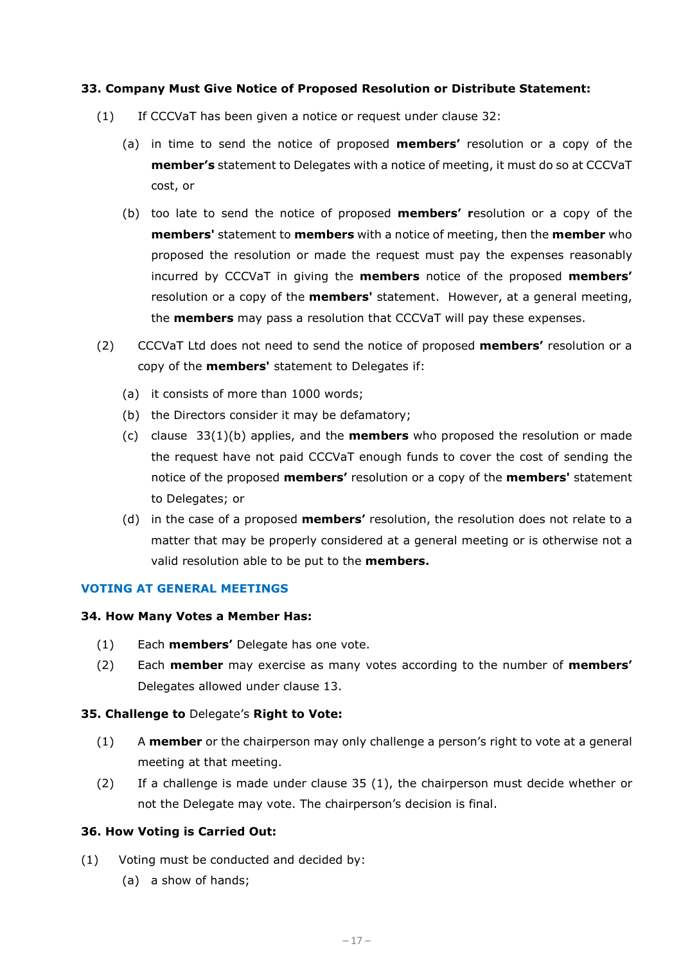#### **33. Company Must Give Notice of Proposed Resolution or Distribute Statement:**

- <span id="page-16-0"></span>(1) If CCCVaT has been given a notice or request under clause 32:
	- (a) in time to send the notice of proposed **members'** resolution or a copy of the **member's** statement to Delegates with a notice of meeting, it must do so at CCCVaT cost, or
	- (b) too late to send the notice of proposed **members' r**esolution or a copy of the **members'** statement to **members** with a notice of meeting, then the **member** who proposed the resolution or made the request must pay the expenses reasonably incurred by CCCVaT in giving the **members** notice of the proposed **members'**  resolution or a copy of the **members'** statement. However, at a general meeting, the **members** may pass a resolution that CCCVaT will pay these expenses.
- (2) CCCVaT Ltd does not need to send the notice of proposed **members'** resolution or a copy of the **members'** statement to Delegates if:
	- (a) it consists of more than 1000 words;
	- (b) the Directors consider it may be defamatory;
	- (c) clause 3[3\(1\)\(b\)](#page-16-0) applies, and the **members** who proposed the resolution or made the request have not paid CCCVaT enough funds to cover the cost of sending the notice of the proposed **members'** resolution or a copy of the **members'** statement to Delegates; or
	- (d) in the case of a proposed **members'** resolution, the resolution does not relate to a matter that may be properly considered at a general meeting or is otherwise not a valid resolution able to be put to the **members.**

#### **VOTING AT GENERAL MEETINGS**

#### **34. How Many Votes a Member Has:**

- (1) Each **members'** Delegate has one vote.
- (2) Each **member** may exercise as many votes according to the number of **members'**  Delegates allowed under clause 13.

#### **35. Challenge to** Delegate's **Right to Vote:**

- (1) A **member** or the chairperson may only challenge a person's right to vote at a general meeting at that meeting.
- (2) If a challenge is made under clause 35 (1), the chairperson must decide whether or not the Delegate may vote. The chairperson's decision is final.

#### **36. How Voting is Carried Out:**

- (1) Voting must be conducted and decided by:
	- (a) a show of hands;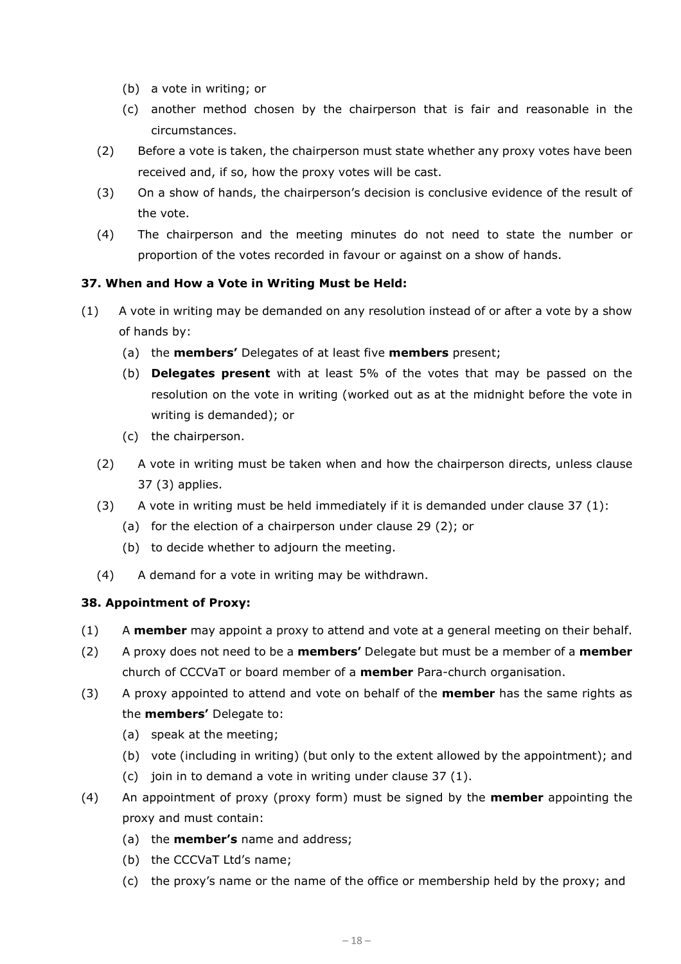- (b) a vote in writing; or
- (c) another method chosen by the chairperson that is fair and reasonable in the circumstances.
- (2) Before a vote is taken, the chairperson must state whether any proxy votes have been received and, if so, how the proxy votes will be cast.
- (3) On a show of hands, the chairperson's decision is conclusive evidence of the result of the vote.
- (4) The chairperson and the meeting minutes do not need to state the number or proportion of the votes recorded in favour or against on a show of hands.

## **37. When and How a Vote in Writing Must be Held:**

- (1) A vote in writing may be demanded on any resolution instead of or after a vote by a show of hands by:
	- (a) the **members'** Delegates of at least five **members** present;
	- (b) **Delegates present** with at least 5% of the votes that may be passed on the resolution on the vote in writing (worked out as at the midnight before the vote in writing is demanded); or
	- (c) the chairperson.
	- (2) A vote in writing must be taken when and how the chairperson directs, unless clause 37 (3) applies.
	- (3) A vote in writing must be held immediately if it is demanded under clause  $37(1)$ :
		- (a) for the election of a chairperson under clause 29 (2); or
		- (b) to decide whether to adjourn the meeting.
	- (4) A demand for a vote in writing may be withdrawn.

## **38. Appointment of Proxy:**

- (1) A **member** may appoint a proxy to attend and vote at a general meeting on their behalf.
- (2) A proxy does not need to be a **members'** Delegate but must be a member of a **member**  church of CCCVaT or board member of a **member** Para-church organisation.
- (3) A proxy appointed to attend and vote on behalf of the **member** has the same rights as the **members'** Delegate to:
	- (a) speak at the meeting;
	- (b) vote (including in writing) (but only to the extent allowed by the appointment); and
	- (c) join in to demand a vote in writing under clause 37 (1).
- (4) An appointment of proxy (proxy form) must be signed by the **member** appointing the proxy and must contain:
	- (a) the **member's** name and address;
	- (b) the CCCVaT Ltd's name;
	- (c) the proxy's name or the name of the office or membership held by the proxy; and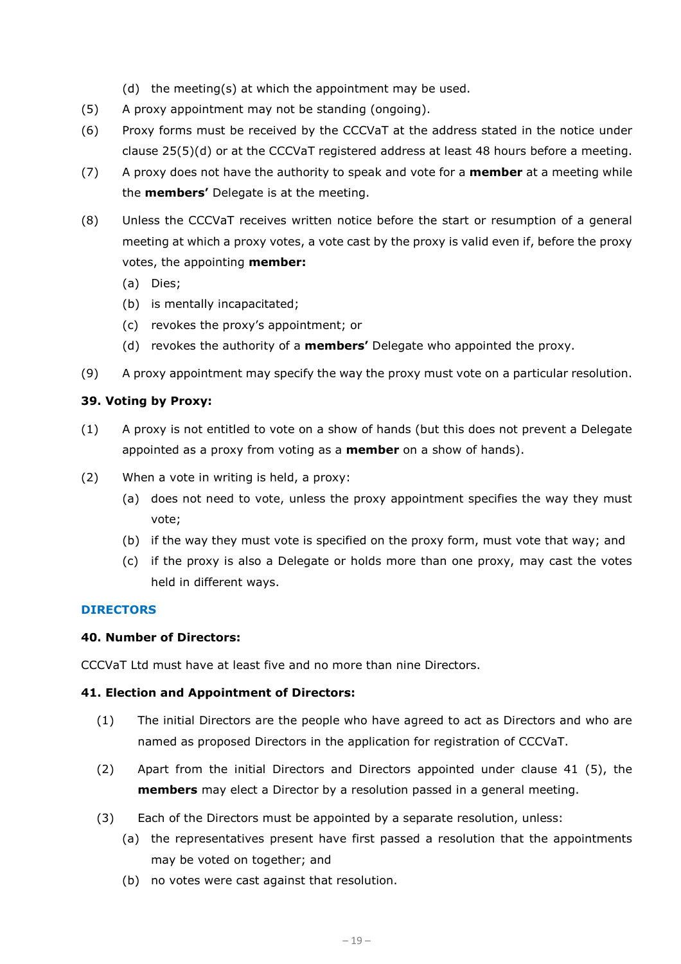(d) the meeting(s) at which the appointment may be used.

- (5) A proxy appointment may not be standing (ongoing).
- (6) Proxy forms must be received by the CCCVaT at the address stated in the notice under clause [25\(5\)\(d\)](#page-13-1) or at the CCCVaT registered address at least 48 hours before a meeting.
- (7) A proxy does not have the authority to speak and vote for a **member** at a meeting while the **members'** Delegate is at the meeting.
- (8) Unless the CCCVaT receives written notice before the start or resumption of a general meeting at which a proxy votes, a vote cast by the proxy is valid even if, before the proxy votes, the appointing **member:**
	- (a) Dies;
	- (b) is mentally incapacitated;
	- (c) revokes the proxy's appointment; or
	- (d) revokes the authority of a **members'** Delegate who appointed the proxy.
- (9) A proxy appointment may specify the way the proxy must vote on a particular resolution.

#### **39. Voting by Proxy:**

- (1) A proxy is not entitled to vote on a show of hands (but this does not prevent a Delegate appointed as a proxy from voting as a **member** on a show of hands).
- (2) When a vote in writing is held, a proxy:
	- (a) does not need to vote, unless the proxy appointment specifies the way they must vote;
	- (b) if the way they must vote is specified on the proxy form, must vote that way; and
	- (c) if the proxy is also a Delegate or holds more than one proxy, may cast the votes held in different ways.

#### **DIRECTORS**

#### **40. Number of Directors:**

CCCVaT Ltd must have at least five and no more than nine Directors.

#### **41. Election and Appointment of Directors:**

- (1) The initial Directors are the people who have agreed to act as Directors and who are named as proposed Directors in the application for registration of CCCVaT.
- (2) Apart from the initial Directors and Directors appointed under clause 41 (5), the **members** may elect a Director by a resolution passed in a general meeting.
- (3) Each of the Directors must be appointed by a separate resolution, unless:
	- (a) the representatives present have first passed a resolution that the appointments may be voted on together; and
	- (b) no votes were cast against that resolution.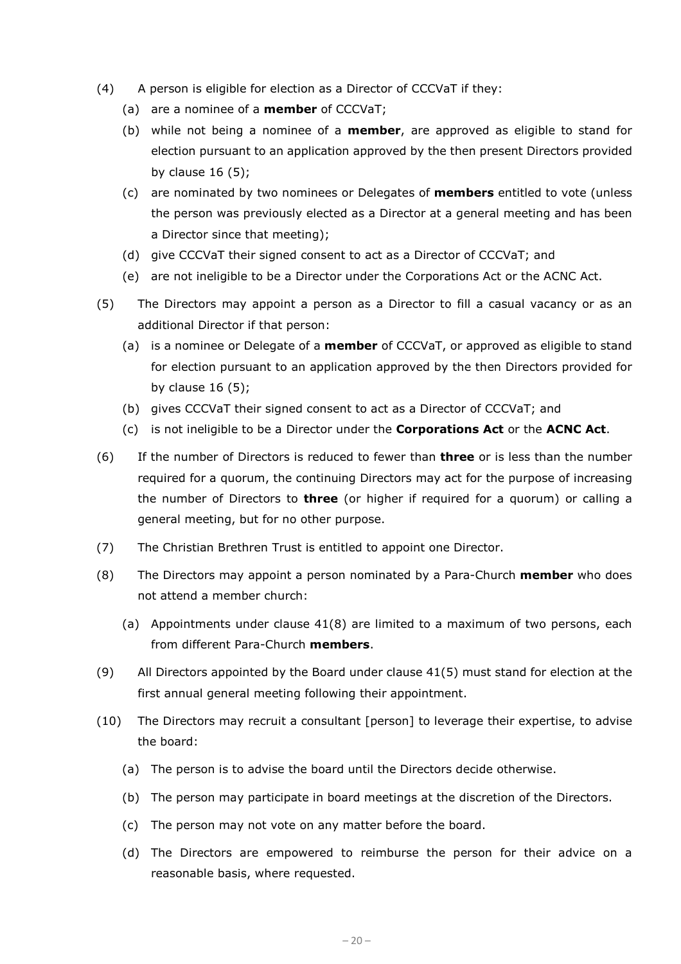- (4) A person is eligible for election as a Director of CCCVaT if they:
	- (a) are a nominee of a **member** of CCCVaT;
	- (b) while not being a nominee of a **member**, are approved as eligible to stand for election pursuant to an application approved by the then present Directors provided by clause  $16(5)$ ;
	- (c) are nominated by two nominees or Delegates of **members** entitled to vote (unless the person was previously elected as a Director at a general meeting and has been a Director since that meeting);
	- (d) give CCCVaT their signed consent to act as a Director of CCCVaT; and
	- (e) are not ineligible to be a Director under the Corporations Act or the ACNC Act.
- (5) The Directors may appoint a person as a Director to fill a casual vacancy or as an additional Director if that person:
	- (a) is a nominee or Delegate of a **member** of CCCVaT, or approved as eligible to stand for election pursuant to an application approved by the then Directors provided for by clause 16 (5);
	- (b) gives CCCVaT their signed consent to act as a Director of CCCVaT; and
	- (c) is not ineligible to be a Director under the **Corporations Act** or the **ACNC Act**.
- (6) If the number of Directors is reduced to fewer than **three** or is less than the number required for a quorum, the continuing Directors may act for the purpose of increasing the number of Directors to **three** (or higher if required for a quorum) or calling a general meeting, but for no other purpose.
- (7) The Christian Brethren Trust is entitled to appoint one Director.
- (8) The Directors may appoint a person nominated by a Para-Church **member** who does not attend a member church:
	- (a) Appointments under clause 41(8) are limited to a maximum of two persons, each from different Para-Church **members**.
- (9) All Directors appointed by the Board under clause 41(5) must stand for election at the first annual general meeting following their appointment.
- (10) The Directors may recruit a consultant [person] to leverage their expertise, to advise the board:
	- (a) The person is to advise the board until the Directors decide otherwise.
	- (b) The person may participate in board meetings at the discretion of the Directors.
	- (c) The person may not vote on any matter before the board.
	- (d) The Directors are empowered to reimburse the person for their advice on a reasonable basis, where requested.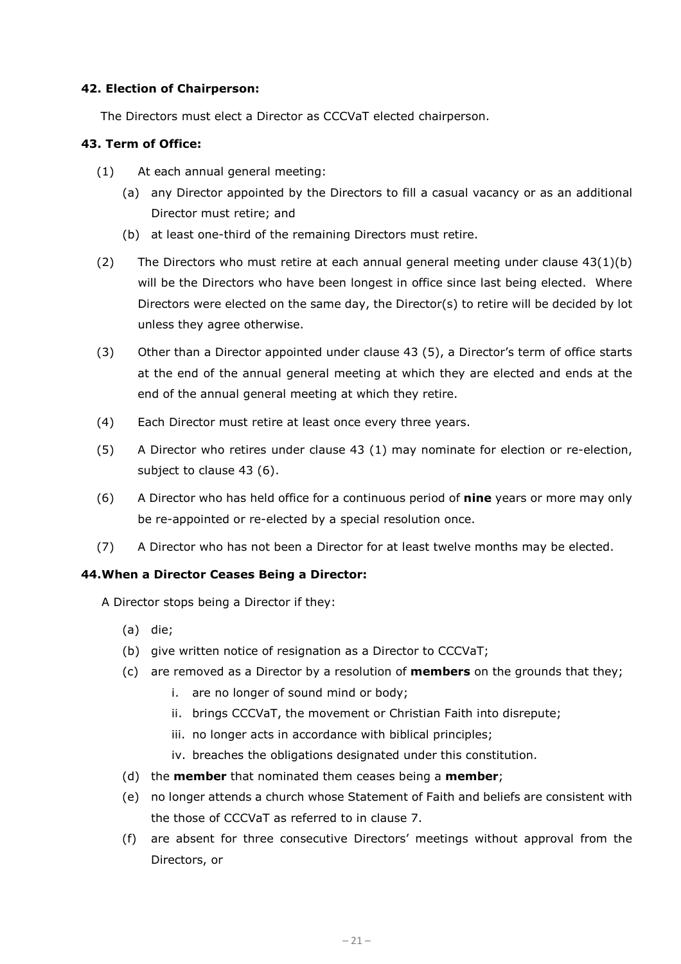## **42. Election of Chairperson:**

The Directors must elect a Director as CCCVaT elected chairperson.

## **43. Term of Office:**

- (1) At each annual general meeting:
	- (a) any Director appointed by the Directors to fill a casual vacancy or as an additional Director must retire; and
	- (b) at least one-third of the remaining Directors must retire.
- <span id="page-20-0"></span>(2) The Directors who must retire at each annual general meeting under clause  $43(1)(b)$  $43(1)(b)$ will be the Directors who have been longest in office since last being elected. Where Directors were elected on the same day, the Director(s) to retire will be decided by lot unless they agree otherwise.
- (3) Other than a Director appointed under clause 43 (5), a Director's term of office starts at the end of the annual general meeting at which they are elected and ends at the end of the annual general meeting at which they retire.
- (4) Each Director must retire at least once every three years.
- (5) A Director who retires under clause 43 (1) may nominate for election or re-election, subject to clause 43 (6).
- (6) A Director who has held office for a continuous period of **nine** years or more may only be re-appointed or re-elected by a special resolution once.
- (7) A Director who has not been a Director for at least twelve months may be elected.

#### **44.When a Director Ceases Being a Director:**

A Director stops being a Director if they:

- (a) die;
- (b) give written notice of resignation as a Director to CCCVaT;
- (c) are removed as a Director by a resolution of **members** on the grounds that they;
	- i. are no longer of sound mind or body;
	- ii. brings CCCVaT, the movement or Christian Faith into disrepute;
	- iii. no longer acts in accordance with biblical principles;
	- iv. breaches the obligations designated under this constitution.
- (d) the **member** that nominated them ceases being a **member**;
- (e) no longer attends a church whose Statement of Faith and beliefs are consistent with the those of CCCVaT as referred to in clause 7.
- (f) are absent for three consecutive Directors' meetings without approval from the Directors, or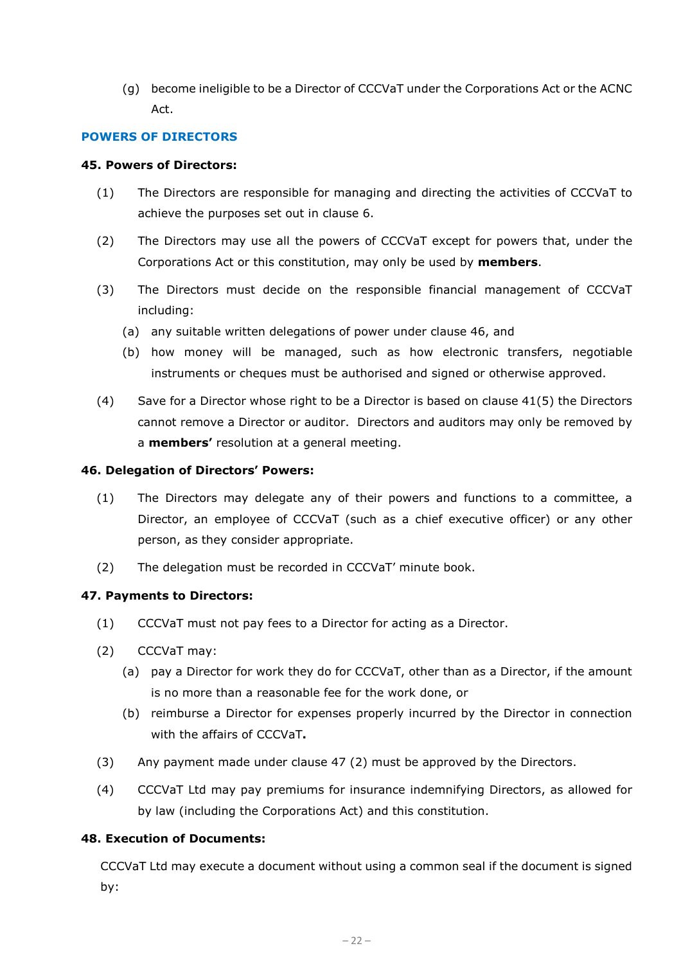(g) become ineligible to be a Director of CCCVaT under the Corporations Act or the ACNC Act.

## **POWERS OF DIRECTORS**

## **45. Powers of Directors:**

- (1) The Directors are responsible for managing and directing the activities of CCCVaT to achieve the purposes set out in clause [6.](#page-1-0)
- (2) The Directors may use all the powers of CCCVaT except for powers that, under the Corporations Act or this constitution, may only be used by **members**.
- (3) The Directors must decide on the responsible financial management of CCCVaT including:
	- (a) any suitable written delegations of power under clause 46, and
	- (b) how money will be managed, such as how electronic transfers, negotiable instruments or cheques must be authorised and signed or otherwise approved.
- (4) Save for a Director whose right to be a Director is based on clause 41(5) the Directors cannot remove a Director or auditor. Directors and auditors may only be removed by a **members'** resolution at a general meeting.

#### **46. Delegation of Directors' Powers:**

- (1) The Directors may delegate any of their powers and functions to a committee, a Director, an employee of CCCVaT (such as a chief executive officer) or any other person, as they consider appropriate.
- (2) The delegation must be recorded in CCCVaT' minute book.

## **47. Payments to Directors:**

- (1) CCCVaT must not pay fees to a Director for acting as a Director.
- (2) CCCVaT may:
	- (a) pay a Director for work they do for CCCVaT, other than as a Director, if the amount is no more than a reasonable fee for the work done, or
	- (b) reimburse a Director for expenses properly incurred by the Director in connection with the affairs of CCCVaT**.**
- (3) Any payment made under clause 47 (2) must be approved by the Directors.
- (4) CCCVaT Ltd may pay premiums for insurance indemnifying Directors, as allowed for by law (including the Corporations Act) and this constitution.

## **48. Execution of Documents:**

CCCVaT Ltd may execute a document without using a common seal if the document is signed by: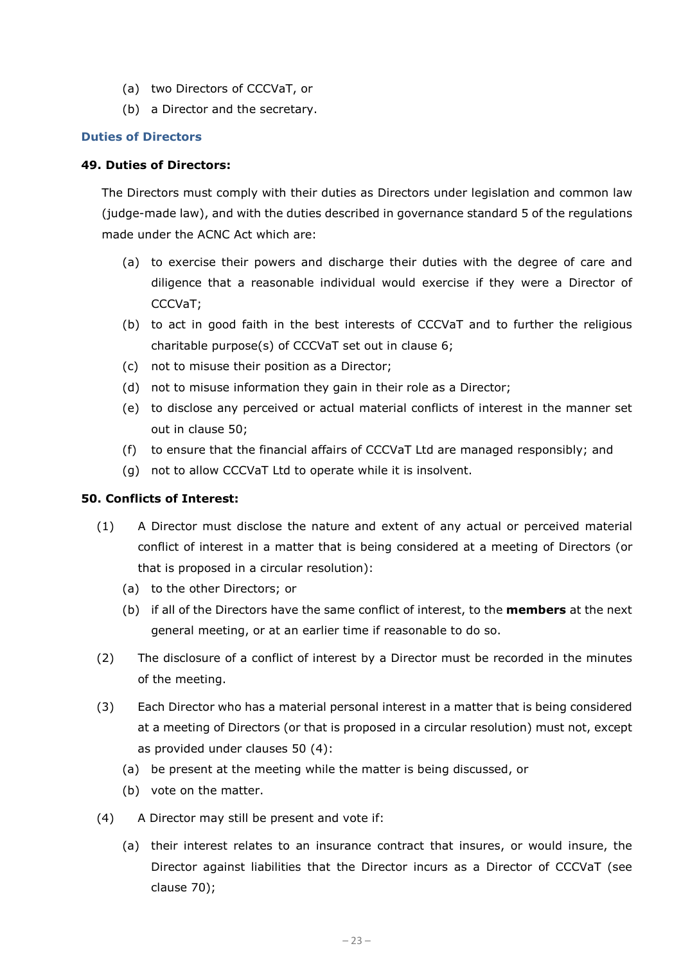- (a) two Directors of CCCVaT, or
- (b) a Director and the secretary.

#### **Duties of Directors**

#### **49. Duties of Directors:**

The Directors must comply with their duties as Directors under legislation and common law (judge-made law), and with the duties described in governance standard 5 of the regulations made under the ACNC Act which are:

- (a) to exercise their powers and discharge their duties with the degree of care and diligence that a reasonable individual would exercise if they were a Director of CCCVaT;
- (b) to act in good faith in the best interests of CCCVaT and to further the religious charitable purpose(s) of CCCVaT set out in clause [6;](#page-1-0)
- (c) not to misuse their position as a Director;
- (d) not to misuse information they gain in their role as a Director;
- (e) to disclose any perceived or actual material conflicts of interest in the manner set out in clause 50;
- (f) to ensure that the financial affairs of CCCVaT Ltd are managed responsibly; and
- (g) not to allow CCCVaT Ltd to operate while it is insolvent.

#### **50. Conflicts of Interest:**

- (1) A Director must disclose the nature and extent of any actual or perceived material conflict of interest in a matter that is being considered at a meeting of Directors (or that is proposed in a circular resolution):
	- (a) to the other Directors; or
	- (b) if all of the Directors have the same conflict of interest, to the **members** at the next general meeting, or at an earlier time if reasonable to do so.
- (2) The disclosure of a conflict of interest by a Director must be recorded in the minutes of the meeting.
- (3) Each Director who has a material personal interest in a matter that is being considered at a meeting of Directors (or that is proposed in a circular resolution) must not, except as provided under clauses 50 (4):
	- (a) be present at the meeting while the matter is being discussed, or
	- (b) vote on the matter.
- (4) A Director may still be present and vote if:
	- (a) their interest relates to an insurance contract that insures, or would insure, the Director against liabilities that the Director incurs as a Director of CCCVaT (see clause 70);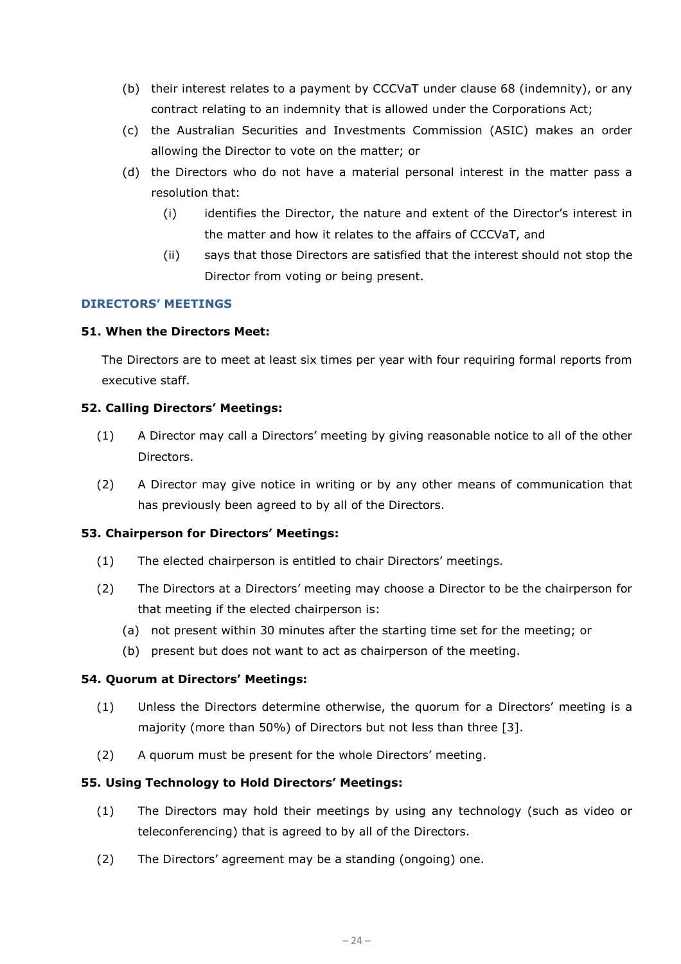- (b) their interest relates to a payment by CCCVaT under clause 68 (indemnity), or any contract relating to an indemnity that is allowed under the Corporations Act;
- (c) the Australian Securities and Investments Commission (ASIC) makes an order allowing the Director to vote on the matter; or
- (d) the Directors who do not have a material personal interest in the matter pass a resolution that:
	- (i) identifies the Director, the nature and extent of the Director's interest in the matter and how it relates to the affairs of CCCVaT, and
	- (ii) says that those Directors are satisfied that the interest should not stop the Director from voting or being present.

## **DIRECTORS' MEETINGS**

## **51. When the Directors Meet:**

The Directors are to meet at least six times per year with four requiring formal reports from executive staff.

## **52. Calling Directors' Meetings:**

- (1) A Director may call a Directors' meeting by giving reasonable notice to all of the other Directors.
- (2) A Director may give notice in writing or by any other means of communication that has previously been agreed to by all of the Directors.

## **53. Chairperson for Directors' Meetings:**

- (1) The elected chairperson is entitled to chair Directors' meetings.
- (2) The Directors at a Directors' meeting may choose a Director to be the chairperson for that meeting if the elected chairperson is:
	- (a) not present within 30 minutes after the starting time set for the meeting; or
	- (b) present but does not want to act as chairperson of the meeting.

## **54. Quorum at Directors' Meetings:**

- (1) Unless the Directors determine otherwise, the quorum for a Directors' meeting is a majority (more than 50%) of Directors but not less than three [3].
- (2) A quorum must be present for the whole Directors' meeting.

#### **55. Using Technology to Hold Directors' Meetings:**

- (1) The Directors may hold their meetings by using any technology (such as video or teleconferencing) that is agreed to by all of the Directors.
- (2) The Directors' agreement may be a standing (ongoing) one.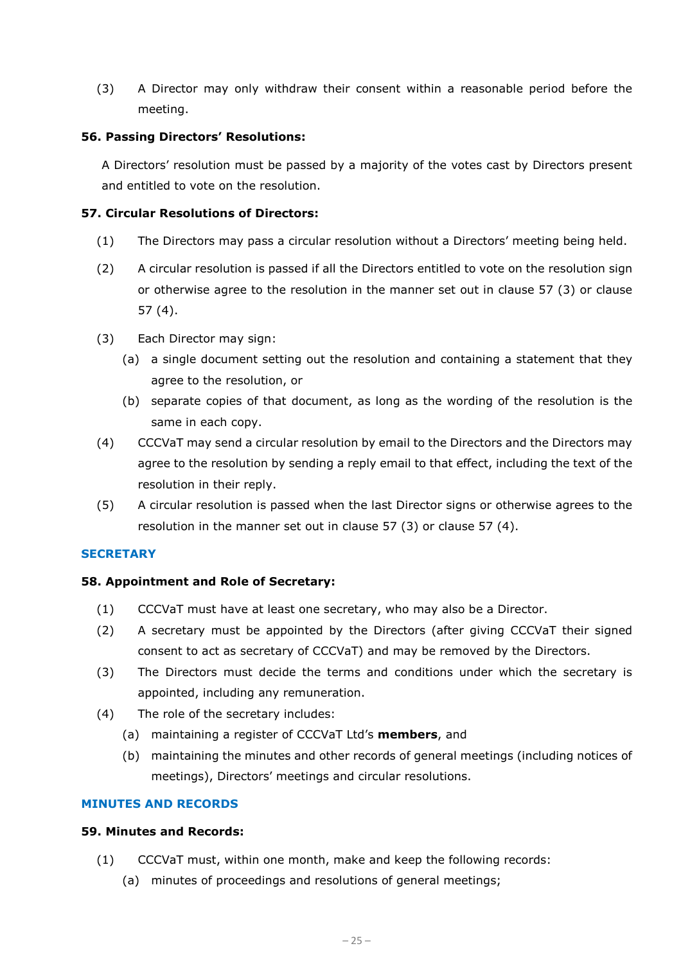(3) A Director may only withdraw their consent within a reasonable period before the meeting.

## **56. Passing Directors' Resolutions:**

A Directors' resolution must be passed by a majority of the votes cast by Directors present and entitled to vote on the resolution.

## **57. Circular Resolutions of Directors:**

- (1) The Directors may pass a circular resolution without a Directors' meeting being held.
- (2) A circular resolution is passed if all the Directors entitled to vote on the resolution sign or otherwise agree to the resolution in the manner set out in clause 57 (3) or clause 57 (4).
- (3) Each Director may sign:
	- (a) a single document setting out the resolution and containing a statement that they agree to the resolution, or
	- (b) separate copies of that document, as long as the wording of the resolution is the same in each copy.
- (4) CCCVaT may send a circular resolution by email to the Directors and the Directors may agree to the resolution by sending a reply email to that effect, including the text of the resolution in their reply.
- (5) A circular resolution is passed when the last Director signs or otherwise agrees to the resolution in the manner set out in clause 57 (3) or clause 57 (4).

#### **SECRETARY**

#### **58. Appointment and Role of Secretary:**

- (1) CCCVaT must have at least one secretary, who may also be a Director.
- (2) A secretary must be appointed by the Directors (after giving CCCVaT their signed consent to act as secretary of CCCVaT) and may be removed by the Directors.
- (3) The Directors must decide the terms and conditions under which the secretary is appointed, including any remuneration.
- (4) The role of the secretary includes:
	- (a) maintaining a register of CCCVaT Ltd's **members**, and
	- (b) maintaining the minutes and other records of general meetings (including notices of meetings), Directors' meetings and circular resolutions.

#### **MINUTES AND RECORDS**

#### **59. Minutes and Records:**

- (1) CCCVaT must, within one month, make and keep the following records:
	- (a) minutes of proceedings and resolutions of general meetings;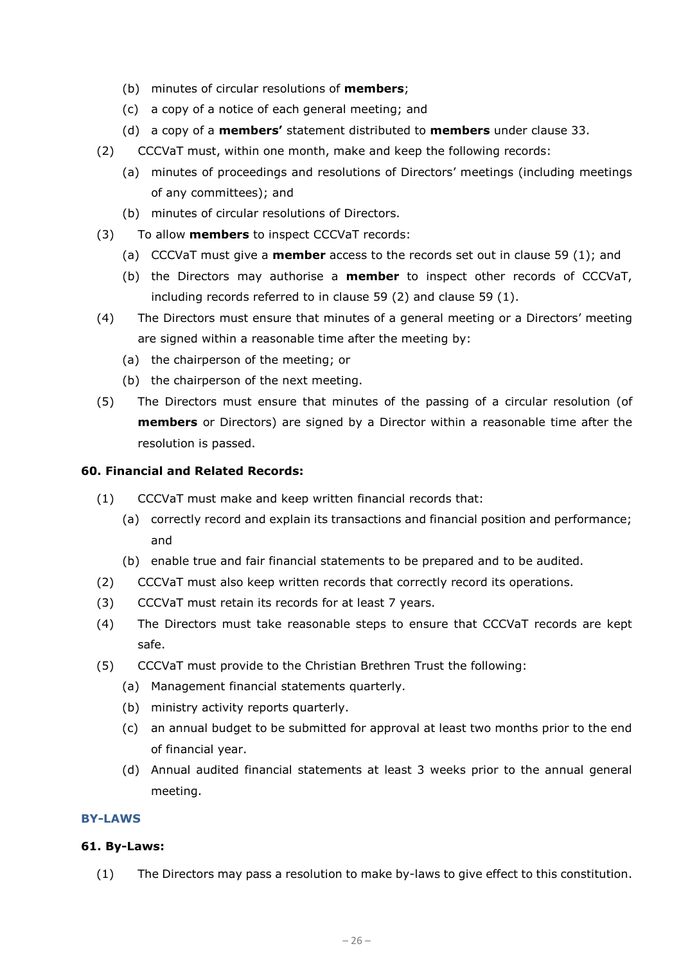- (b) minutes of circular resolutions of **members**;
- (c) a copy of a notice of each general meeting; and
- (d) a copy of a **members'** statement distributed to **members** under clause 33.
- (2) CCCVaT must, within one month, make and keep the following records:
	- (a) minutes of proceedings and resolutions of Directors' meetings (including meetings of any committees); and
	- (b) minutes of circular resolutions of Directors.
- (3) To allow **members** to inspect CCCVaT records:
	- (a) CCCVaT must give a **member** access to the records set out in clause 59 (1); and
	- (b) the Directors may authorise a **member** to inspect other records of CCCVaT, including records referred to in clause 59 (2) and clause 59 (1).
- (4) The Directors must ensure that minutes of a general meeting or a Directors' meeting are signed within a reasonable time after the meeting by:
	- (a) the chairperson of the meeting; or
	- (b) the chairperson of the next meeting.
- (5) The Directors must ensure that minutes of the passing of a circular resolution (of **members** or Directors) are signed by a Director within a reasonable time after the resolution is passed.

## **60. Financial and Related Records:**

- (1) CCCVaT must make and keep written financial records that:
	- (a) correctly record and explain its transactions and financial position and performance; and
	- (b) enable true and fair financial statements to be prepared and to be audited.
- (2) CCCVaT must also keep written records that correctly record its operations.
- (3) CCCVaT must retain its records for at least 7 years.
- (4) The Directors must take reasonable steps to ensure that CCCVaT records are kept safe.
- (5) CCCVaT must provide to the Christian Brethren Trust the following:
	- (a) Management financial statements quarterly.
	- (b) ministry activity reports quarterly.
	- (c) an annual budget to be submitted for approval at least two months prior to the end of financial year.
	- (d) Annual audited financial statements at least 3 weeks prior to the annual general meeting.

#### **BY-LAWS**

#### **61. By-Laws:**

(1) The Directors may pass a resolution to make by-laws to give effect to this constitution.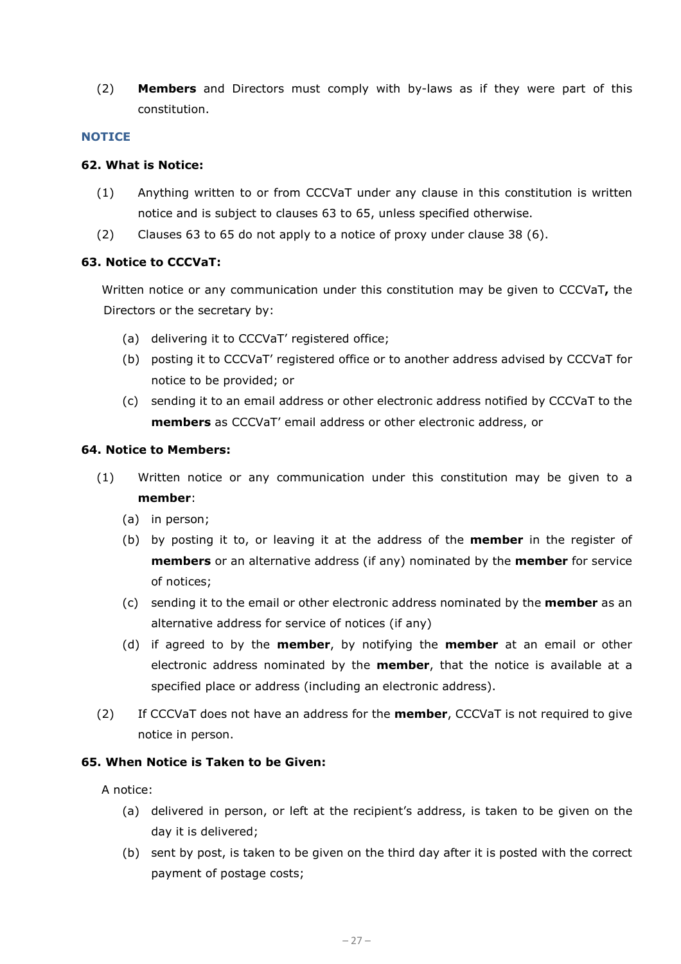(2) **Members** and Directors must comply with by-laws as if they were part of this constitution.

#### **NOTICE**

#### **62. What is Notice:**

- (1) Anything written to or from CCCVaT under any clause in this constitution is written notice and is subject to clauses 63 to 65, unless specified otherwise.
- (2) Clauses 63 to 65 do not apply to a notice of proxy under clause 38 (6).

## **63. Notice to CCCVaT:**

Written notice or any communication under this constitution may be given to CCCVaT**,** the Directors or the secretary by:

- (a) delivering it to CCCVaT' registered office;
- (b) posting it to CCCVaT' registered office or to another address advised by CCCVaT for notice to be provided; or
- (c) sending it to an email address or other electronic address notified by CCCVaT to the **members** as CCCVaT' email address or other electronic address, or

#### **64. Notice to Members:**

- (1) Written notice or any communication under this constitution may be given to a **member**:
	- (a) in person;
	- (b) by posting it to, or leaving it at the address of the **member** in the register of **members** or an alternative address (if any) nominated by the **member** for service of notices;
	- (c) sending it to the email or other electronic address nominated by the **member** as an alternative address for service of notices (if any)
	- (d) if agreed to by the **member**, by notifying the **member** at an email or other electronic address nominated by the **member**, that the notice is available at a specified place or address (including an electronic address).
- (2) If CCCVaT does not have an address for the **member**, CCCVaT is not required to give notice in person.

## **65. When Notice is Taken to be Given:**

A notice:

- (a) delivered in person, or left at the recipient's address, is taken to be given on the day it is delivered;
- (b) sent by post, is taken to be given on the third day after it is posted with the correct payment of postage costs;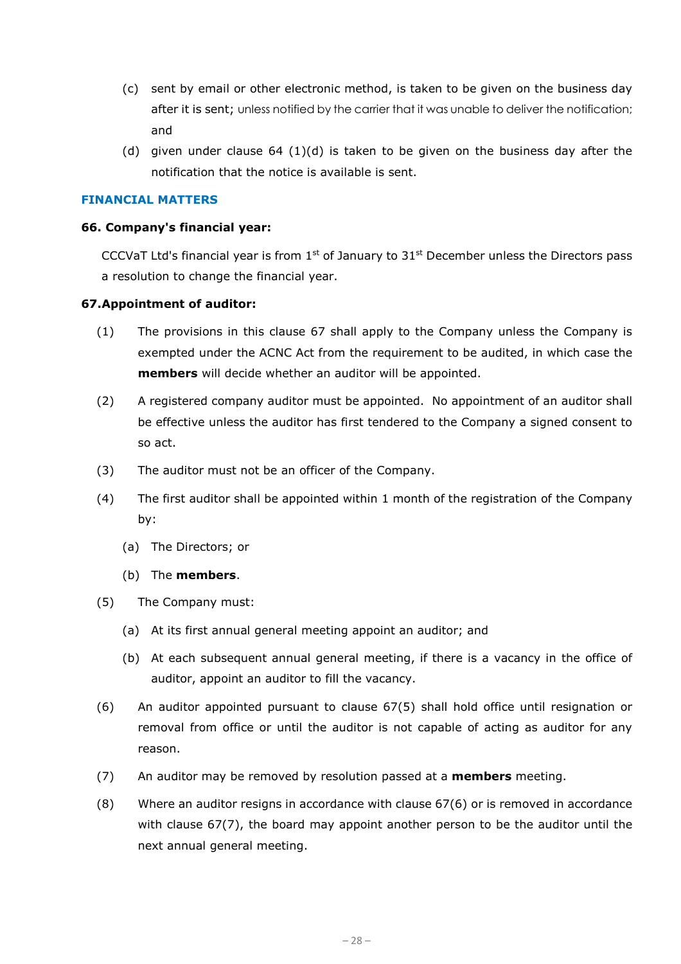- (c) sent by email or other electronic method, is taken to be given on the business day after it is sent; unless notified by the carrier that it was unable to deliver the notification; and
- (d) given under clause  $64 \cdot (1)(d)$  is taken to be given on the business day after the notification that the notice is available is sent.

#### **FINANCIAL MATTERS**

#### **66. Company's financial year:**

CCCVaT Ltd's financial year is from  $1<sup>st</sup>$  of January to  $31<sup>st</sup>$  December unless the Directors pass a resolution to change the financial year.

#### **67.Appointment of auditor:**

- (1) The provisions in this clause 67 shall apply to the Company unless the Company is exempted under the ACNC Act from the requirement to be audited, in which case the **members** will decide whether an auditor will be appointed.
- (2) A registered company auditor must be appointed. No appointment of an auditor shall be effective unless the auditor has first tendered to the Company a signed consent to so act.
- (3) The auditor must not be an officer of the Company.
- (4) The first auditor shall be appointed within 1 month of the registration of the Company by:
	- (a) The Directors; or
	- (b) The **members**.
- (5) The Company must:
	- (a) At its first annual general meeting appoint an auditor; and
	- (b) At each subsequent annual general meeting, if there is a vacancy in the office of auditor, appoint an auditor to fill the vacancy.
- (6) An auditor appointed pursuant to clause 67(5) shall hold office until resignation or removal from office or until the auditor is not capable of acting as auditor for any reason.
- (7) An auditor may be removed by resolution passed at a **members** meeting.
- (8) Where an auditor resigns in accordance with clause 67(6) or is removed in accordance with clause 67(7), the board may appoint another person to be the auditor until the next annual general meeting.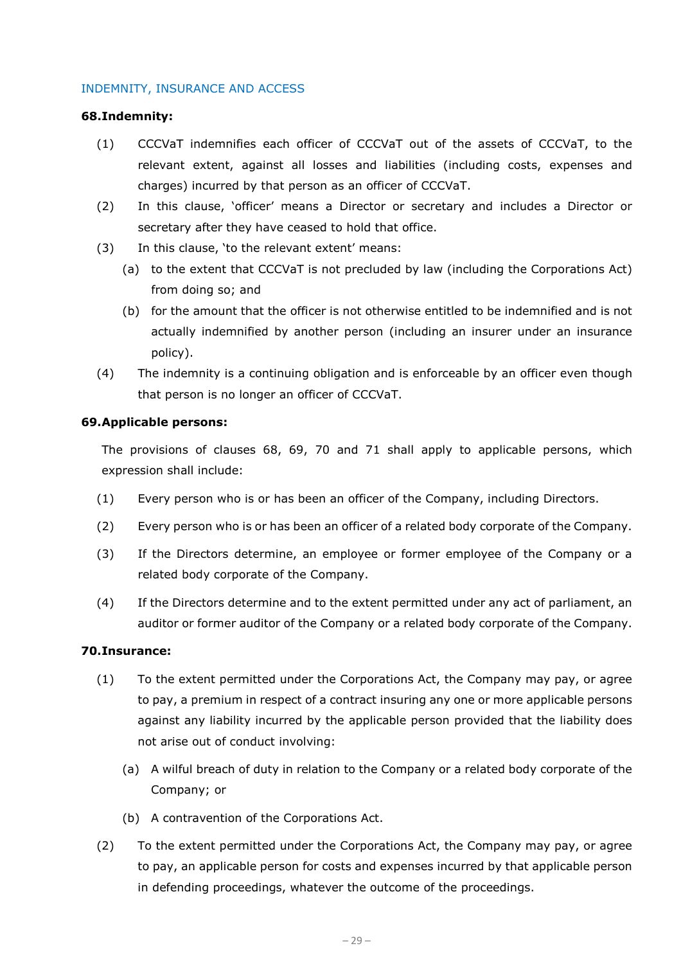#### INDEMNITY, INSURANCE AND ACCESS

#### **68.Indemnity:**

- (1) CCCVaT indemnifies each officer of CCCVaT out of the assets of CCCVaT, to the relevant extent, against all losses and liabilities (including costs, expenses and charges) incurred by that person as an officer of CCCVaT.
- (2) In this clause, 'officer' means a Director or secretary and includes a Director or secretary after they have ceased to hold that office.
- (3) In this clause, 'to the relevant extent' means:
	- (a) to the extent that CCCVaT is not precluded by law (including the Corporations Act) from doing so; and
	- (b) for the amount that the officer is not otherwise entitled to be indemnified and is not actually indemnified by another person (including an insurer under an insurance policy).
- (4) The indemnity is a continuing obligation and is enforceable by an officer even though that person is no longer an officer of CCCVaT.

#### **69.Applicable persons:**

The provisions of clauses 68, 69, 70 and 71 shall apply to applicable persons, which expression shall include:

- (1) Every person who is or has been an officer of the Company, including Directors.
- (2) Every person who is or has been an officer of a related body corporate of the Company.
- (3) If the Directors determine, an employee or former employee of the Company or a related body corporate of the Company.
- (4) If the Directors determine and to the extent permitted under any act of parliament, an auditor or former auditor of the Company or a related body corporate of the Company.

## **70.Insurance:**

- (1) To the extent permitted under the Corporations Act, the Company may pay, or agree to pay, a premium in respect of a contract insuring any one or more applicable persons against any liability incurred by the applicable person provided that the liability does not arise out of conduct involving:
	- (a) A wilful breach of duty in relation to the Company or a related body corporate of the Company; or
	- (b) A contravention of the Corporations Act.
- (2) To the extent permitted under the Corporations Act, the Company may pay, or agree to pay, an applicable person for costs and expenses incurred by that applicable person in defending proceedings, whatever the outcome of the proceedings.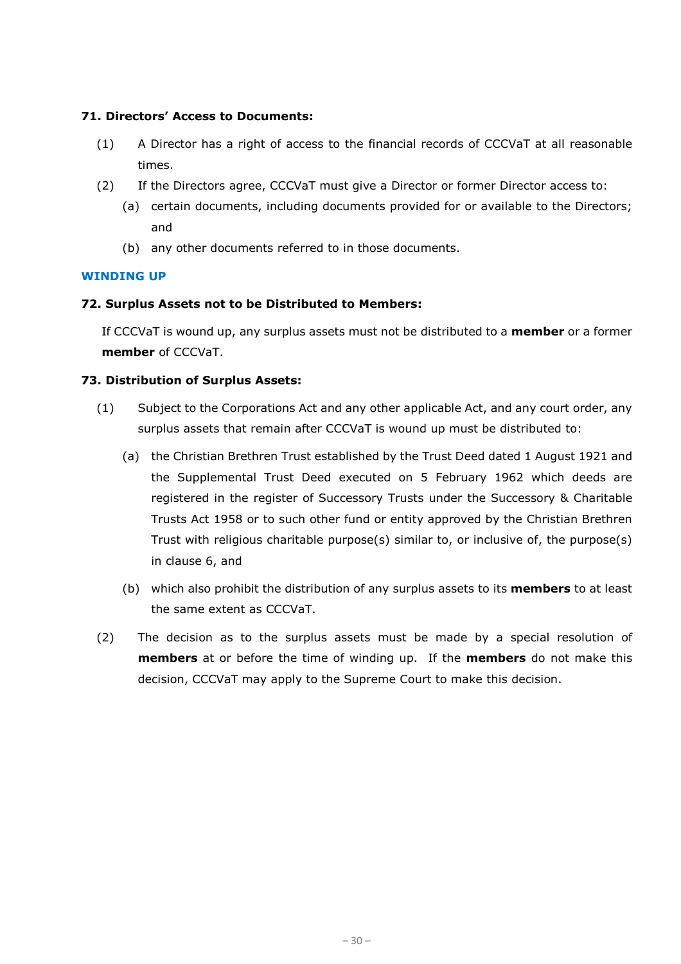## **71. Directors' Access to Documents:**

- (1) A Director has a right of access to the financial records of CCCVaT at all reasonable times.
- (2) If the Directors agree, CCCVaT must give a Director or former Director access to:
	- (a) certain documents, including documents provided for or available to the Directors; and
	- (b) any other documents referred to in those documents.

## **WINDING UP**

## **72. Surplus Assets not to be Distributed to Members:**

If CCCVaT is wound up, any surplus assets must not be distributed to a **member** or a former **member** of CCCVaT.

## **73. Distribution of Surplus Assets:**

- (1) Subject to the Corporations Act and any other applicable Act, and any court order, any surplus assets that remain after CCCVaT is wound up must be distributed to:
	- (a) the Christian Brethren Trust established by the Trust Deed dated 1 August 1921 and the Supplemental Trust Deed executed on 5 February 1962 which deeds are registered in the register of Successory Trusts under the Successory & Charitable Trusts Act 1958 or to such other fund or entity approved by the Christian Brethren Trust with religious charitable purpose(s) similar to, or inclusive of, the purpose(s) in clause [6,](#page-1-0) and
	- (b) which also prohibit the distribution of any surplus assets to its **members** to at least the same extent as CCCVaT.
- (2) The decision as to the surplus assets must be made by a special resolution of **members** at or before the time of winding up. If the **members** do not make this decision, CCCVaT may apply to the Supreme Court to make this decision.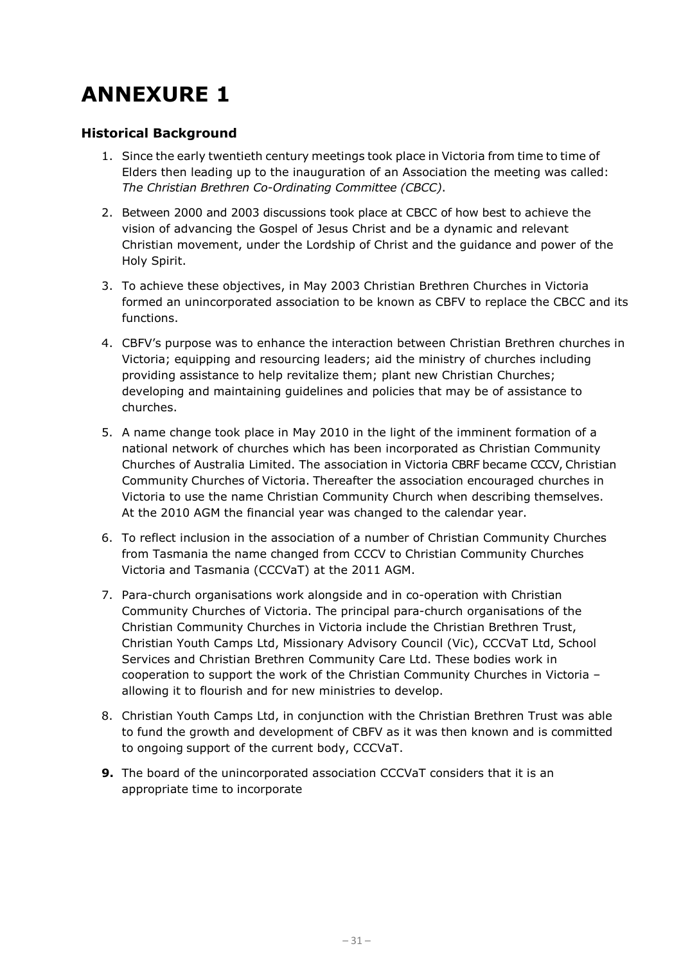# **ANNEXURE 1**

## **Historical Background**

- 1. Since the early twentieth century meetings took place in Victoria from time to time of Elders then leading up to the inauguration of an Association the meeting was called: *The Christian Brethren Co-Ordinating Committee (CBCC)*.
- 2. Between 2000 and 2003 discussions took place at CBCC of how best to achieve the vision of advancing the Gospel of Jesus Christ and be a dynamic and relevant Christian movement, under the Lordship of Christ and the guidance and power of the Holy Spirit.
- 3. To achieve these objectives, in May 2003 Christian Brethren Churches in Victoria formed an unincorporated association to be known as CBFV to replace the CBCC and its functions.
- 4. CBFV's purpose was to enhance the interaction between Christian Brethren churches in Victoria; equipping and resourcing leaders; aid the ministry of churches including providing assistance to help revitalize them; plant new Christian Churches; developing and maintaining guidelines and policies that may be of assistance to churches.
- 5. A name change took place in May 2010 in the light of the imminent formation of a national network of churches which has been incorporated as Christian Community Churches of Australia Limited. The association in Victoria CBRF became CCCV, Christian Community Churches of Victoria. Thereafter the association encouraged churches in Victoria to use the name Christian Community Church when describing themselves. At the 2010 AGM the financial year was changed to the calendar year.
- 6. To reflect inclusion in the association of a number of Christian Community Churches from Tasmania the name changed from CCCV to Christian Community Churches Victoria and Tasmania (CCCVaT) at the 2011 AGM.
- 7. Para-church organisations work alongside and in co-operation with Christian Community Churches of Victoria. The principal para-church organisations of the Christian Community Churches in Victoria include the Christian Brethren Trust, Christian Youth Camps Ltd, Missionary Advisory Council (Vic), CCCVaT Ltd, School Services and Christian Brethren Community Care Ltd. These bodies work in cooperation to support the work of the Christian Community Churches in Victoria – allowing it to flourish and for new ministries to develop.
- 8. Christian Youth Camps Ltd, in conjunction with the Christian Brethren Trust was able to fund the growth and development of CBFV as it was then known and is committed to ongoing support of the current body, CCCVaT.
- **9.** The board of the unincorporated association CCCVaT considers that it is an appropriate time to incorporate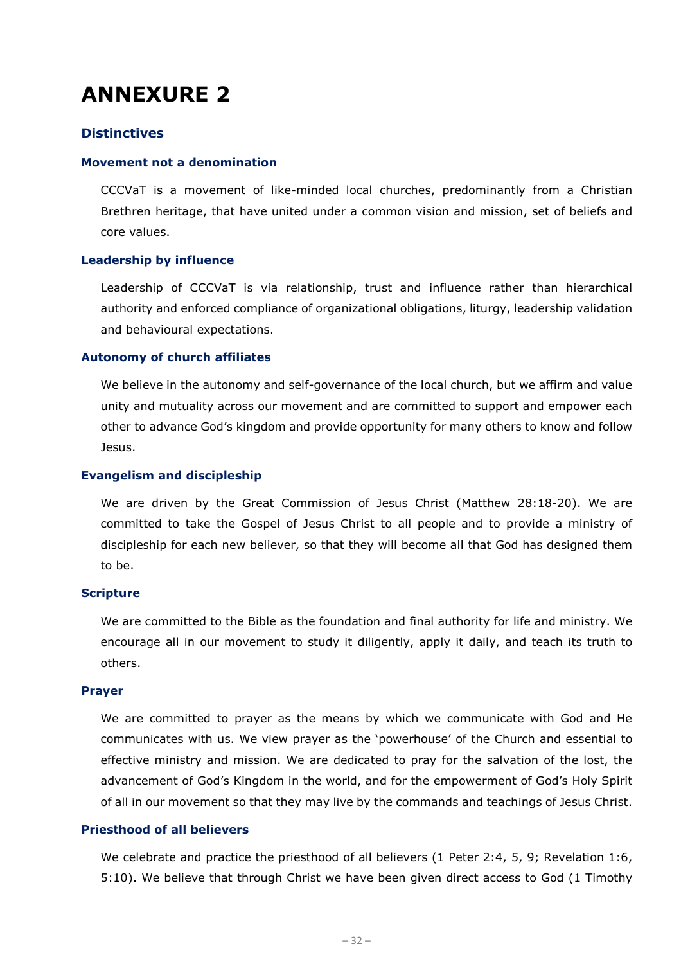## **ANNEXURE 2**

## **Distinctives**

#### **Movement not a denomination**

CCCVaT is a movement of like-minded local churches, predominantly from a Christian Brethren heritage, that have united under a common vision and mission, set of beliefs and core values.

#### **Leadership by influence**

Leadership of CCCVaT is via relationship, trust and influence rather than hierarchical authority and enforced compliance of organizational obligations, liturgy, leadership validation and behavioural expectations.

#### **Autonomy of church affiliates**

We believe in the autonomy and self-governance of the local church, but we affirm and value unity and mutuality across our movement and are committed to support and empower each other to advance God's kingdom and provide opportunity for many others to know and follow Jesus.

#### **Evangelism and discipleship**

We are driven by the Great Commission of Jesus Christ (Matthew 28:18-20). We are committed to take the Gospel of Jesus Christ to all people and to provide a ministry of discipleship for each new believer, so that they will become all that God has designed them to be.

#### **Scripture**

We are committed to the Bible as the foundation and final authority for life and ministry. We encourage all in our movement to study it diligently, apply it daily, and teach its truth to others.

#### **Prayer**

We are committed to prayer as the means by which we communicate with God and He communicates with us. We view prayer as the 'powerhouse' of the Church and essential to effective ministry and mission. We are dedicated to pray for the salvation of the lost, the advancement of God's Kingdom in the world, and for the empowerment of God's Holy Spirit of all in our movement so that they may live by the commands and teachings of Jesus Christ.

#### **Priesthood of all believers**

We celebrate and practice the priesthood of all believers (1 Peter 2:4, 5, 9; Revelation 1:6, 5:10). We believe that through Christ we have been given direct access to God (1 Timothy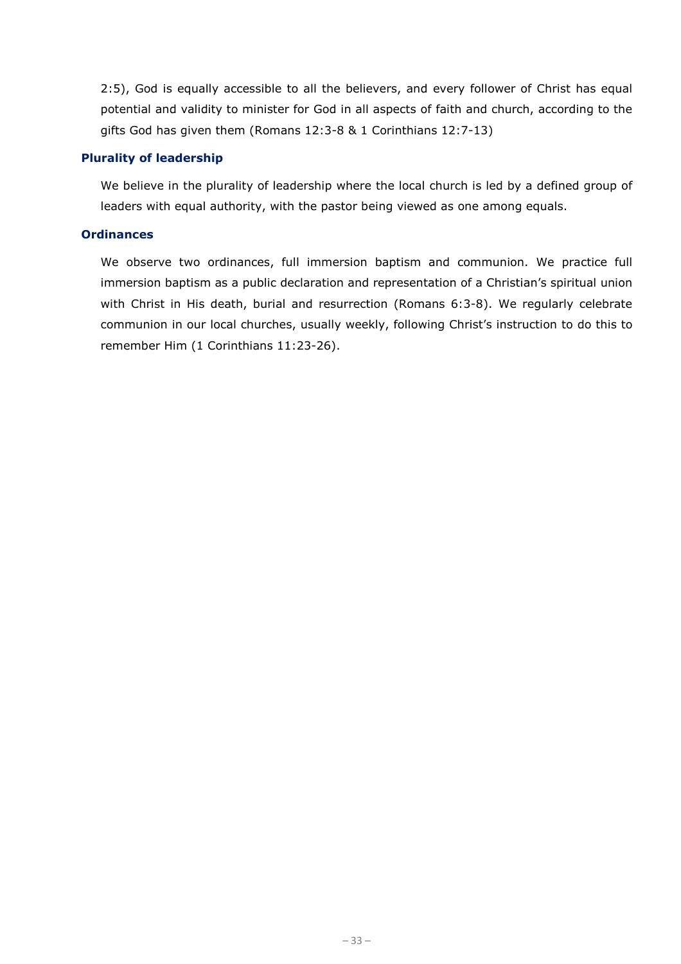2:5), God is equally accessible to all the believers, and every follower of Christ has equal potential and validity to minister for God in all aspects of faith and church, according to the gifts God has given them (Romans 12:3-8 & 1 Corinthians 12:7-13)

#### **Plurality of leadership**

We believe in the plurality of leadership where the local church is led by a defined group of leaders with equal authority, with the pastor being viewed as one among equals.

#### **Ordinances**

We observe two ordinances, full immersion baptism and communion. We practice full immersion baptism as a public declaration and representation of a Christian's spiritual union with Christ in His death, burial and resurrection (Romans 6:3-8). We regularly celebrate communion in our local churches, usually weekly, following Christ's instruction to do this to remember Him (1 Corinthians 11:23-26).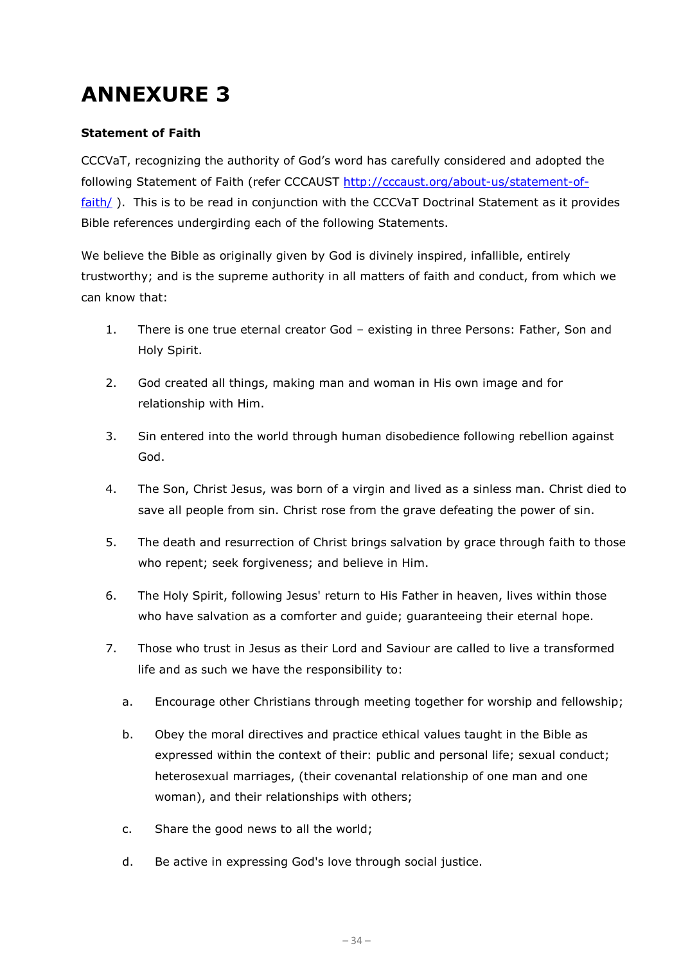# **ANNEXURE 3**

## **Statement of Faith**

CCCVaT, recognizing the authority of God's word has carefully considered and adopted the following Statement of Faith (refer CCCAUST [http://cccaust.org/about-us/statement-of](http://cccaust.org/about-us/statement-of-faith/)[faith/](http://cccaust.org/about-us/statement-of-faith/)). This is to be read in conjunction with the CCCVaT Doctrinal Statement as it provides Bible references undergirding each of the following Statements.

We believe the Bible as originally given by God is divinely inspired, infallible, entirely trustworthy; and is the supreme authority in all matters of faith and conduct, from which we can know that:

- 1. There is one true eternal creator God existing in three Persons: Father, Son and Holy Spirit.
- 2. God created all things, making man and woman in His own image and for relationship with Him.
- 3. Sin entered into the world through human disobedience following rebellion against God.
- 4. The Son, Christ Jesus, was born of a virgin and lived as a sinless man. Christ died to save all people from sin. Christ rose from the grave defeating the power of sin.
- 5. The death and resurrection of Christ brings salvation by grace through faith to those who repent; seek forgiveness; and believe in Him.
- 6. The Holy Spirit, following Jesus' return to His Father in heaven, lives within those who have salvation as a comforter and guide; guaranteeing their eternal hope.
- 7. Those who trust in Jesus as their Lord and Saviour are called to live a transformed life and as such we have the responsibility to:
	- a. Encourage other Christians through meeting together for worship and fellowship;
	- b. Obey the moral directives and practice ethical values taught in the Bible as expressed within the context of their: public and personal life; sexual conduct; heterosexual marriages, (their covenantal relationship of one man and one woman), and their relationships with others;
	- c. Share the good news to all the world;
	- d. Be active in expressing God's love through social justice.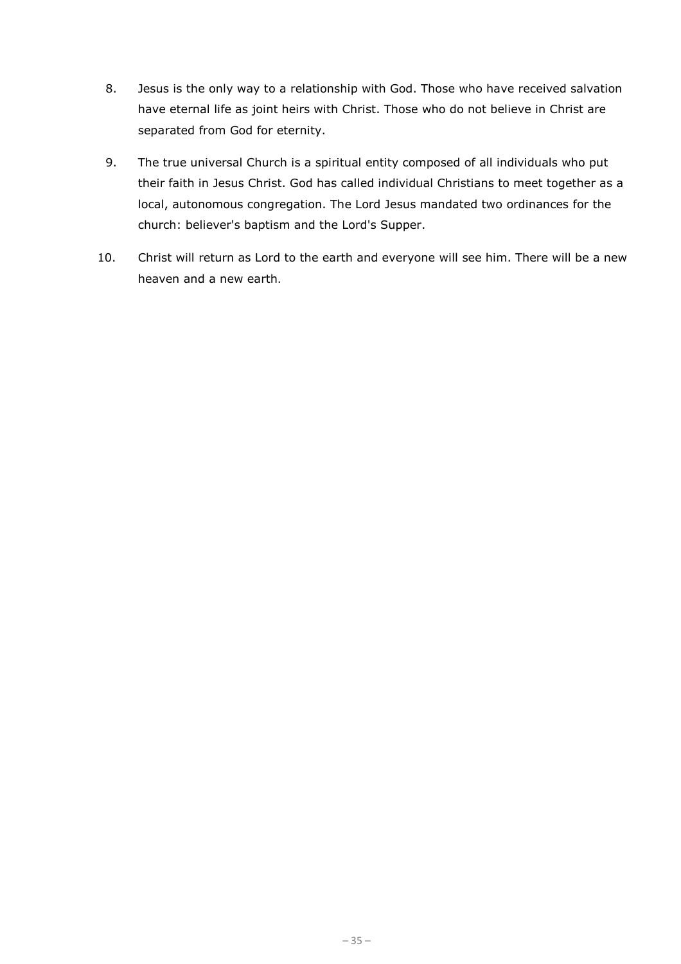- 8. Jesus is the only way to a relationship with God. Those who have received salvation have eternal life as joint heirs with Christ. Those who do not believe in Christ are separated from God for eternity.
- 9. The true universal Church is a spiritual entity composed of all individuals who put their faith in Jesus Christ. God has called individual Christians to meet together as a local, autonomous congregation. The Lord Jesus mandated two ordinances for the church: believer's baptism and the Lord's Supper.
- 10. Christ will return as Lord to the earth and everyone will see him. There will be a new heaven and a new earth.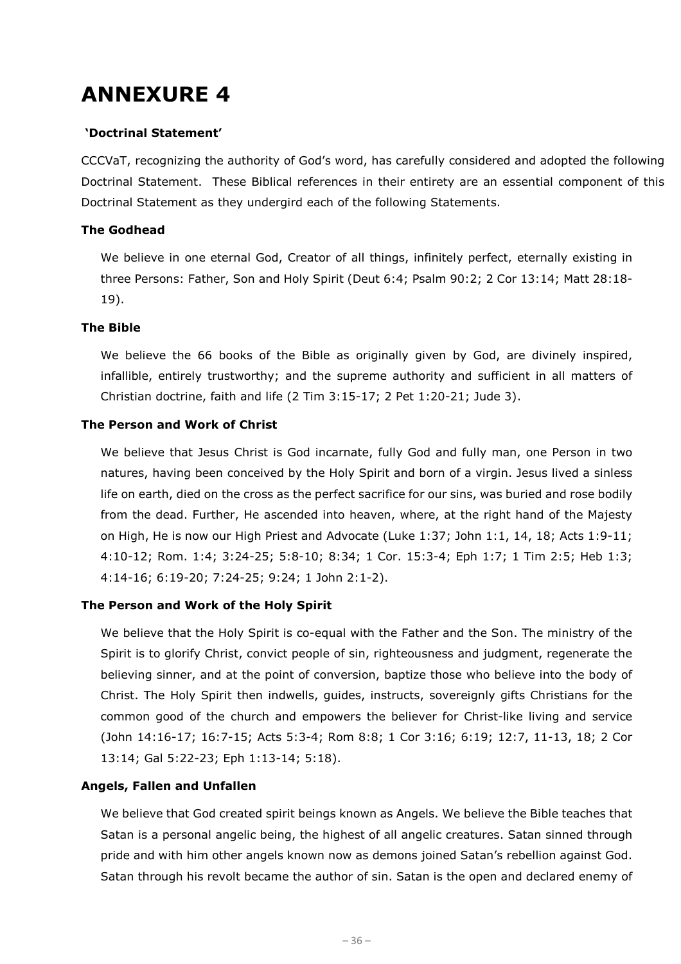## **ANNEXURE 4**

## **'Doctrinal Statement'**

CCCVaT, recognizing the authority of God's word, has carefully considered and adopted the following Doctrinal Statement. These Biblical references in their entirety are an essential component of this Doctrinal Statement as they undergird each of the following Statements.

## **The Godhead**

We believe in one eternal God, Creator of all things, infinitely perfect, eternally existing in three Persons: Father, Son and Holy Spirit (Deut 6:4; Psalm 90:2; 2 Cor 13:14; Matt 28:18- 19).

## **The Bible**

We believe the 66 books of the Bible as originally given by God, are divinely inspired, infallible, entirely trustworthy; and the supreme authority and sufficient in all matters of Christian doctrine, faith and life (2 Tim 3:15-17; 2 Pet 1:20-21; Jude 3).

## **The Person and Work of Christ**

We believe that Jesus Christ is God incarnate, fully God and fully man, one Person in two natures, having been conceived by the Holy Spirit and born of a virgin. Jesus lived a sinless life on earth, died on the cross as the perfect sacrifice for our sins, was buried and rose bodily from the dead. Further, He ascended into heaven, where, at the right hand of the Majesty on High, He is now our High Priest and Advocate (Luke 1:37; John 1:1, 14, 18; Acts 1:9-11; 4:10-12; Rom. 1:4; 3:24-25; 5:8-10; 8:34; 1 Cor. 15:3-4; Eph 1:7; 1 Tim 2:5; Heb 1:3; 4:14-16; 6:19-20; 7:24-25; 9:24; 1 John 2:1-2).

## **The Person and Work of the Holy Spirit**

We believe that the Holy Spirit is co-equal with the Father and the Son. The ministry of the Spirit is to glorify Christ, convict people of sin, righteousness and judgment, regenerate the believing sinner, and at the point of conversion, baptize those who believe into the body of Christ. The Holy Spirit then indwells, guides, instructs, sovereignly gifts Christians for the common good of the church and empowers the believer for Christ-like living and service (John 14:16-17; 16:7-15; Acts 5:3-4; Rom 8:8; 1 Cor 3:16; 6:19; 12:7, 11-13, 18; 2 Cor 13:14; Gal 5:22-23; Eph 1:13-14; 5:18).

## **Angels, Fallen and Unfallen**

We believe that God created spirit beings known as Angels. We believe the Bible teaches that Satan is a personal angelic being, the highest of all angelic creatures. Satan sinned through pride and with him other angels known now as demons joined Satan's rebellion against God. Satan through his revolt became the author of sin. Satan is the open and declared enemy of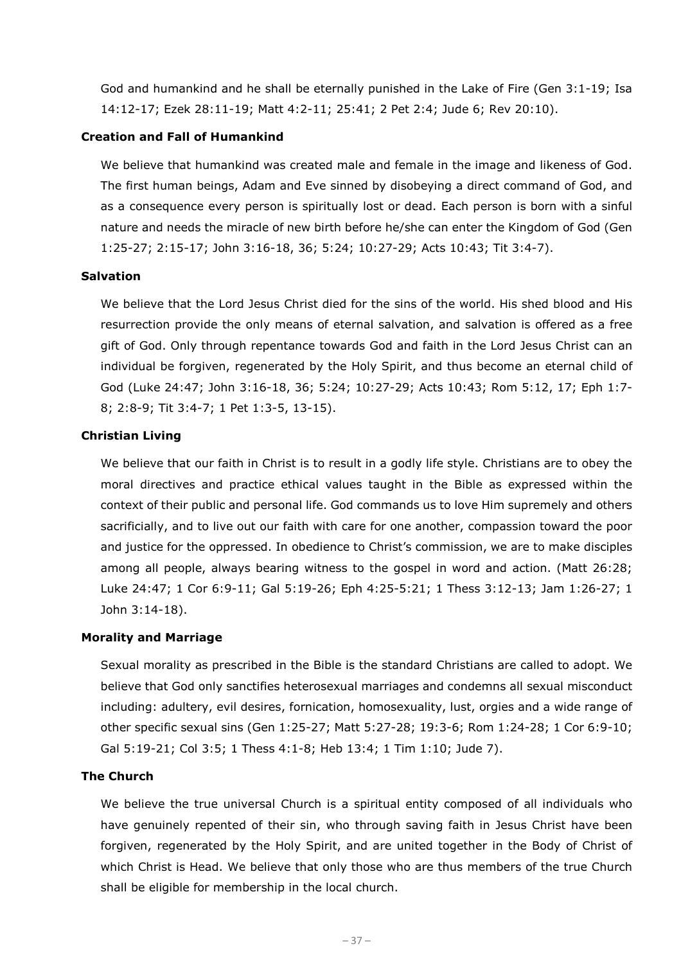God and humankind and he shall be eternally punished in the Lake of Fire (Gen 3:1-19; Isa 14:12-17; Ezek 28:11-19; Matt 4:2-11; 25:41; 2 Pet 2:4; Jude 6; Rev 20:10).

## **Creation and Fall of Humankind**

We believe that humankind was created male and female in the image and likeness of God. The first human beings, Adam and Eve sinned by disobeying a direct command of God, and as a consequence every person is spiritually lost or dead. Each person is born with a sinful nature and needs the miracle of new birth before he/she can enter the Kingdom of God (Gen 1:25-27; 2:15-17; John 3:16-18, 36; 5:24; 10:27-29; Acts 10:43; Tit 3:4-7).

#### **Salvation**

We believe that the Lord Jesus Christ died for the sins of the world. His shed blood and His resurrection provide the only means of eternal salvation, and salvation is offered as a free gift of God. Only through repentance towards God and faith in the Lord Jesus Christ can an individual be forgiven, regenerated by the Holy Spirit, and thus become an eternal child of God (Luke 24:47; John 3:16-18, 36; 5:24; 10:27-29; Acts 10:43; Rom 5:12, 17; Eph 1:7- 8; 2:8-9; Tit 3:4-7; 1 Pet 1:3-5, 13-15).

## **Christian Living**

We believe that our faith in Christ is to result in a godly life style. Christians are to obey the moral directives and practice ethical values taught in the Bible as expressed within the context of their public and personal life. God commands us to love Him supremely and others sacrificially, and to live out our faith with care for one another, compassion toward the poor and justice for the oppressed. In obedience to Christ's commission, we are to make disciples among all people, always bearing witness to the gospel in word and action. (Matt 26:28; Luke 24:47; 1 Cor 6:9-11; Gal 5:19-26; Eph 4:25-5:21; 1 Thess 3:12-13; Jam 1:26-27; 1 John 3:14-18).

## **Morality and Marriage**

Sexual morality as prescribed in the Bible is the standard Christians are called to adopt. We believe that God only sanctifies heterosexual marriages and condemns all sexual misconduct including: adultery, evil desires, fornication, homosexuality, lust, orgies and a wide range of other specific sexual sins (Gen 1:25-27; Matt 5:27-28; 19:3-6; Rom 1:24-28; 1 Cor 6:9-10; Gal 5:19-21; Col 3:5; 1 Thess 4:1-8; Heb 13:4; 1 Tim 1:10; Jude 7).

#### **The Church**

We believe the true universal Church is a spiritual entity composed of all individuals who have genuinely repented of their sin, who through saving faith in Jesus Christ have been forgiven, regenerated by the Holy Spirit, and are united together in the Body of Christ of which Christ is Head. We believe that only those who are thus members of the true Church shall be eligible for membership in the local church.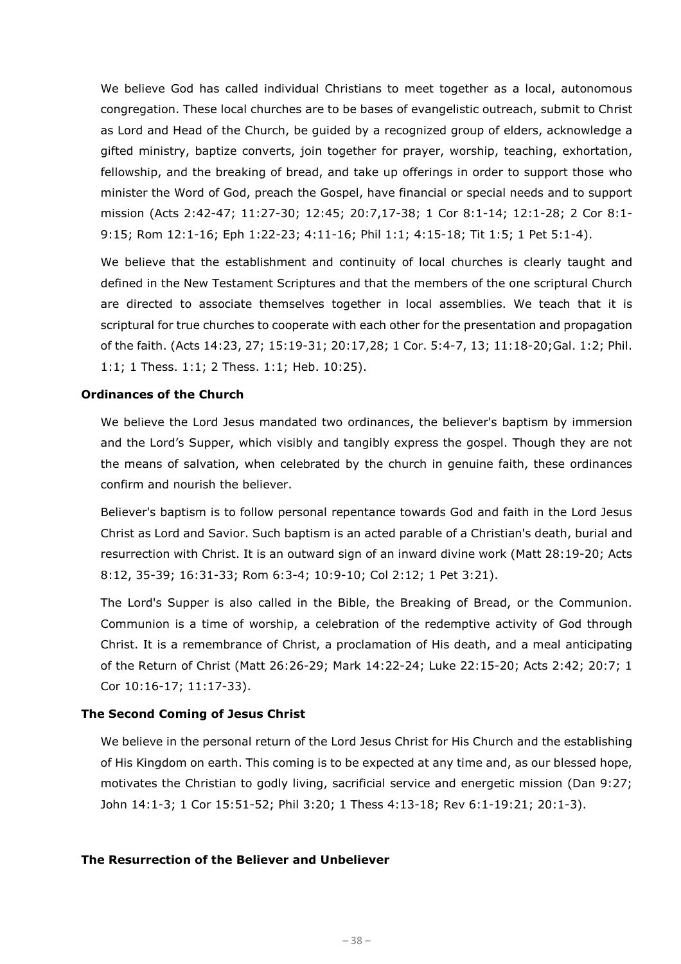We believe God has called individual Christians to meet together as a local, autonomous congregation. These local churches are to be bases of evangelistic outreach, submit to Christ as Lord and Head of the Church, be guided by a recognized group of elders, acknowledge a gifted ministry, baptize converts, join together for prayer, worship, teaching, exhortation, fellowship, and the breaking of bread, and take up offerings in order to support those who minister the Word of God, preach the Gospel, have financial or special needs and to support mission (Acts 2:42-47; 11:27-30; 12:45; 20:7,17-38; 1 Cor 8:1-14; 12:1-28; 2 Cor 8:1- 9:15; Rom 12:1-16; Eph 1:22-23; 4:11-16; Phil 1:1; 4:15-18; Tit 1:5; 1 Pet 5:1-4).

We believe that the establishment and continuity of local churches is clearly taught and defined in the New Testament Scriptures and that the members of the one scriptural Church are directed to associate themselves together in local assemblies. We teach that it is scriptural for true churches to cooperate with each other for the presentation and propagation of the faith. (Acts 14:23, 27; 15:19-31; 20:17,28; 1 Cor. 5:4-7, 13; 11:18-20;Gal. 1:2; Phil. 1:1; 1 Thess. 1:1; 2 Thess. 1:1; Heb. 10:25).

#### **Ordinances of the Church**

We believe the Lord Jesus mandated two ordinances, the believer's baptism by immersion and the Lord's Supper, which visibly and tangibly express the gospel. Though they are not the means of salvation, when celebrated by the church in genuine faith, these ordinances confirm and nourish the believer.

Believer's baptism is to follow personal repentance towards God and faith in the Lord Jesus Christ as Lord and Savior. Such baptism is an acted parable of a Christian's death, burial and resurrection with Christ. It is an outward sign of an inward divine work (Matt 28:19-20; Acts 8:12, 35-39; 16:31-33; Rom 6:3-4; 10:9-10; Col 2:12; 1 Pet 3:21).

The Lord's Supper is also called in the Bible, the Breaking of Bread, or the Communion. Communion is a time of worship, a celebration of the redemptive activity of God through Christ. It is a remembrance of Christ, a proclamation of His death, and a meal anticipating of the Return of Christ (Matt 26:26-29; Mark 14:22-24; Luke 22:15-20; Acts 2:42; 20:7; 1 Cor 10:16-17; 11:17-33).

#### **The Second Coming of Jesus Christ**

We believe in the personal return of the Lord Jesus Christ for His Church and the establishing of His Kingdom on earth. This coming is to be expected at any time and, as our blessed hope, motivates the Christian to godly living, sacrificial service and energetic mission (Dan 9:27; John 14:1-3; 1 Cor 15:51-52; Phil 3:20; 1 Thess 4:13-18; Rev 6:1-19:21; 20:1-3).

#### **The Resurrection of the Believer and Unbeliever**